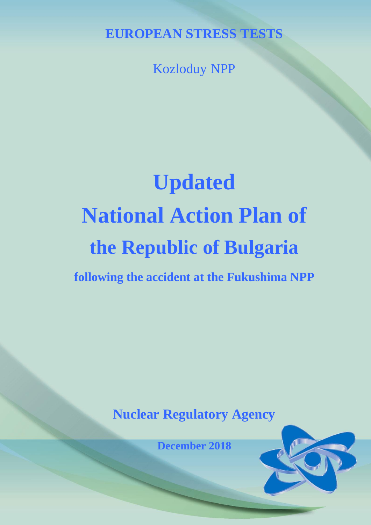**EUROPEAN STRESS TESTS**

Kozloduy NPP

# **Updated National Action Plan of the Republic of Bulgaria**

**following the accident at the Fukushima NPP**

# **Nuclear Regulatory Agency**

**December 2018**

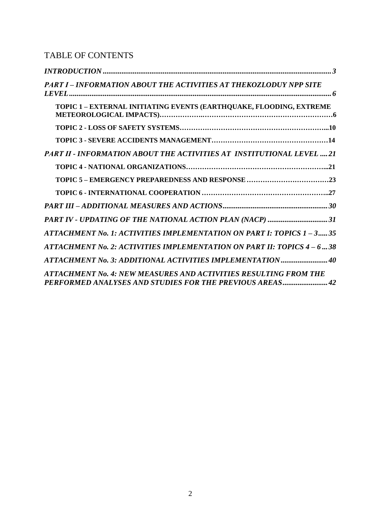## TABLE OF CONTENTS

| PART I – INFORMATION ABOUT THE ACTIVITIES AT THEKOZLODUY NPP SITE                                                            |  |
|------------------------------------------------------------------------------------------------------------------------------|--|
| TOPIC 1 - EXTERNAL INITIATING EVENTS (EARTHQUAKE, FLOODING, EXTREME                                                          |  |
|                                                                                                                              |  |
|                                                                                                                              |  |
| PART II - INFORMATION ABOUT THE ACTIVITIES AT INSTITUTIONAL LEVEL  21                                                        |  |
|                                                                                                                              |  |
|                                                                                                                              |  |
|                                                                                                                              |  |
|                                                                                                                              |  |
| PART IV - UPDATING OF THE NATIONAL ACTION PLAN (NACP) 31                                                                     |  |
| ATTACHMENT No. 1: ACTIVITIES IMPLEMENTATION ON PART I: TOPICS 1 - 3 35                                                       |  |
| ATTACHMENT No. 2: ACTIVITIES IMPLEMENTATION ON PART II: TOPICS 4 – 6  38                                                     |  |
| ATTACHMENT No. 3: ADDITIONAL ACTIVITIES IMPLEMENTATION40                                                                     |  |
| ATTACHMENT No. 4: NEW MEASURES AND ACTIVITIES RESULTING FROM THE<br>PERFORMED ANALYSES AND STUDIES FOR THE PREVIOUS AREAS 42 |  |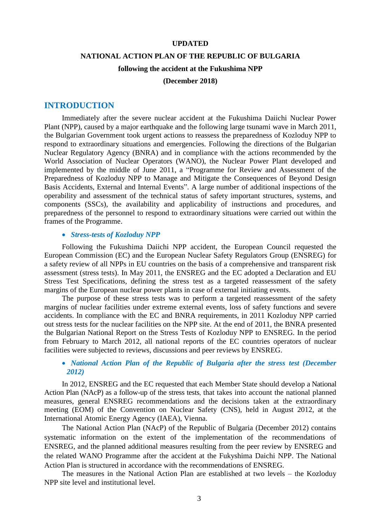#### **UPDATED**

#### **NATIONAL ACTION PLAN OF THE REPUBLIC OF BULGARIA**

#### **following the accident at the Fukushima NPP**

#### **(December 2018)**

## <span id="page-2-0"></span>**INTRODUCTION**

Immediately after the severe nuclear accident at the Fukushima Daiichi Nuclear Power Plant (NPP), caused by a major earthquake and the following large tsunami wave in March 2011, the Bulgarian Government took urgent actions to reassess the preparedness of Kozloduy NPP to respond to extraordinary situations and emergencies. Following the directions of the Bulgarian Nuclear Regulatory Agency (BNRA) and in compliance with the actions recommended by the World Association of Nuclear Operators (WANO), the Nuclear Power Plant developed and implemented by the middle of June 2011, a "Programme for Review and Assessment of the Preparedness of Kozloduy NPP to Manage and Mitigate the Consequences of Beyond Design Basis Accidents, External and Internal Events". A large number of additional inspections of the operability and assessment of the technical status of safety important structures, systems, and components (SSCs), the availability and applicability of instructions and procedures, and preparedness of the personnel to respond to extraordinary situations were carried out within the frames of the Programme.

#### *Stress-tests of Kozloduy NPP*

Following the Fukushima Daiichi NPP accident, the European Council requested the European Commission (EC) and the European Nuclear Safety Regulators Group (ENSREG) for a safety review of all NPPs in EU countries on the basis of a comprehensive and transparent risk assessment (stress tests). In May 2011, the ENSREG and the EC adopted a Declaration and EU Stress Test Specifications, defining the stress test as a targeted reassessment of the safety margins of the European nuclear power plants in case of external initiating events.

The purpose of these stress tests was to perform a targeted reassessment of the safety margins of nuclear facilities under extreme external events, loss of safety functions and severe accidents. In compliance with the EC and BNRA requirements, in 2011 Kozloduy NPP carried out stress tests for the nuclear facilities on the NPP site. At the end of 2011, the BNRA presented the Bulgarian National Report on the Stress Tests of Kozloduy NPP to ENSREG. In the period from February to March 2012, all national reports of the EC countries operators of nuclear facilities were subjected to reviews, discussions and peer reviews by ENSREG.

## *National Action Plan of the Republic of Bulgaria after the stress test (December 2012)*

In 2012, ENSREG and the EC requested that each Member State should develop a National Action Plan (NAcP) as a follow-up of the stress tests, that takes into account the national planned measures, general ENSREG recommendations and the decisions taken at the extraordinary meeting (EOM) of the Convention on Nuclear Safety (CNS), held in August 2012, at the International Atomic Energy Agency (IAEA), Vienna.

The National Action Plan (NAcP) of the Republic of Bulgaria (December 2012) contains systematic information on the extent of the implementation of the recommendations of ENSREG, and the planned additional measures resulting from the peer review by ENSREG and the related WANO Programme after the accident at the Fukyshima Daichi NPP. The National Action Plan is structured in accordance with the recommendations of ENSREG.

The measures in the National Action Plan are established at two levels – the Kozloduy NPP site level and institutional level.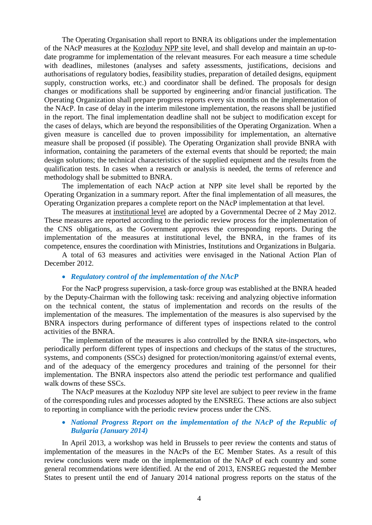The Operating Organisation shall report to BNRA its obligations under the implementation of the NAcP measures at the Kozloduy NPP site level, and shall develop and maintain an up-todate programme for implementation of the relevant measures. For each measure a time schedule with deadlines, milestones (analyses and safety assessments, justifications, decisions and authorisations of regulatory bodies, feasibility studies, preparation of detailed designs, equipment supply, construction works, etc.) and coordinator shall be defined. The proposals for design changes or modifications shall be supported by engineering and/or financial justification. The Operating Organization shall prepare progress reports every six months on the implementation of the NAcP. In case of delay in the interim milestone implementation, the reasons shall be justified in the report. The final implementation deadline shall not be subject to modification except for the cases of delays, which are beyond the responsibilities of the Operating Organization. When a given measure is cancelled due to proven impossibility for implementation, an alternative measure shall be proposed (if possible). The Operating Organization shall provide BNRA with information, containing the parameters of the external events that should be reported; the main design solutions; the technical characteristics of the supplied equipment and the results from the qualification tests. In cases when a research or analysis is needed, the terms of reference and methodology shall be submitted to BNRA.

The implementation of each NAcP action at NPP site level shall be reported by the Operating Organization in a summary report. After the final implementation of all measures, the Operating Organization prepares a complete report on the NAcP implementation at that level.

The measures at institutional level are adopted by a Governmental Decree of 2 May 2012. These measures are reported according to the periodic review process for the implementation of the CNS obligations, as the Government approves the corresponding reports. During the implementation of the measures at institutional level, the BNRA, in the frames of its competence, ensures the coordination with Ministries, Institutions and Organizations in Bulgaria.

A total of 63 measures and activities were envisaged in the National Action Plan of December 2012.

#### *Regulatory control of the implementation of the NAcP*

For the NacP progress supervision, a task-force group was established at the BNRA headed by the Deputy-Chairman with the following task: receiving and analyzing objective information on the technical content, the status of implementation and records on the results of the implementation of the measures. The implementation of the measures is also supervised by the BNRA inspectors during performance of different types of inspections related to the control activities of the BNRA.

The implementation of the measures is also controlled by the BNRA site-inspectors, who periodically perform different types of inspections and checkups of the status of the structures, systems, and components (SSCs) designed for protection/monitoring against/of external events, and of the adequacy of the emergency procedures and training of the personnel for their implementation. The BNRA inspectors also attend the periodic test performance and qualified walk downs of these SSCs.

The NAcP measures at the Kozloduy NPP site level are subject to peer review in the frame of the corresponding rules and processes adopted by the ENSREG. These actions are also subject to reporting in compliance with the periodic review process under the CNS.

## • National Progress Report on the implementation of the NAcP of the Republic of *Bulgaria (January 2014)*

In April 2013, a workshop was held in Brussels to peer review the contents and status of implementation of the measures in the NAcPs of the EC Member States. As a result of this review conclusions were made on the implementation of the NAcP of each country and some general recommendations were identified. At the end of 2013, ENSREG requested the Member States to present until the end of January 2014 national progress reports on the status of the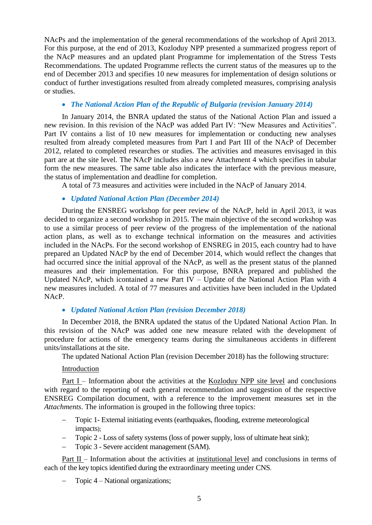NAcPs and the implementation of the general recommendations of the workshop of April 2013. For this purpose, at the end of 2013, Kozloduy NPP presented a summarized progress report of the NAcP measures and an updated plant Programme for implementation of the Stress Tests Recommendations. The updated Programme reflects the current status of the measures up to the end of December 2013 and specifies 10 new measures for implementation of design solutions or conduct of further investigations resulted from already completed measures, comprising analysis or studies.

## *The National Action Plan of the Republic of Bulgaria (revision January 2014)*

In January 2014, the BNRA updated the status of the National Action Plan and issued a new revision. In this revision of the NAcP was added Part IV: "New Measures and Activities". Part IV contains a list of 10 new measures for implementation or conducting new analyses resulted from already completed measures from Part I and Part III of the NAcP of December 2012, related to completed researches or studies. The activities and measures envisaged in this part are at the site level. The NAcP includes also a new Attachment 4 which specifies in tabular form the new measures. The same table also indicates the interface with the previous measure, the status of implementation and deadline for completion.

A total of 73 measures and activities were included in the NAcP of January 2014.

## *Updated National Action Plan (December 2014)*

During the ENSREG workshop for peer review of the NAcP, held in April 2013, it was decided to organize a second workshop in 2015. The main objective of the second workshop was to use a similar process of peer review of the progress of the implementation of the national action plans, as well as to exchange technical information on the measures and activities included in the NAcPs. For the second workshop of ENSREG in 2015, each country had to have prepared an Updated NAcP by the end of December 2014, which would reflect the changes that had occurred since the initial approval of the NAcP, as well as the present status of the planned measures and their implementation. For this purpose, BNRA prepared and published the Updated NAcP, which icontained a new Part IV – Update of the National Action Plan with 4 new measures included. A total of 77 measures and activities have been included in the Updated NAcP.

## *Updated National Action Plan (revision December 2018)*

In December 2018, the BNRA updated the status of the Updated National Action Plan. In this revision of the NAcP was added one new measure related with the development of procedure for actions of the emergency teams during the simultaneous accidents in different units/installations at the site.

The updated National Action Plan (revision December 2018) has the following structure:

#### Introduction

Part I – Information about the activities at the Kozloduy NPP site level and conclusions with regard to the reporting of each general recommendation and suggestion of the respective ENSREG Compilation document, with a reference to the improvement measures set in the *Attachments*. The information is grouped in the following three topics:

- Topic 1- External initiating events (earthquakes, flooding, extreme meteorological impacts);
- Topic 2 Loss of safety systems (loss of power supply, loss of ultimate heat sink);
- Topic 3 Severe accident management (SAM).

Part II – Information about the activities at institutional level and conclusions in terms of each of the key topics identified during the extraordinary meeting under CNS.

Topic 4 – National organizations;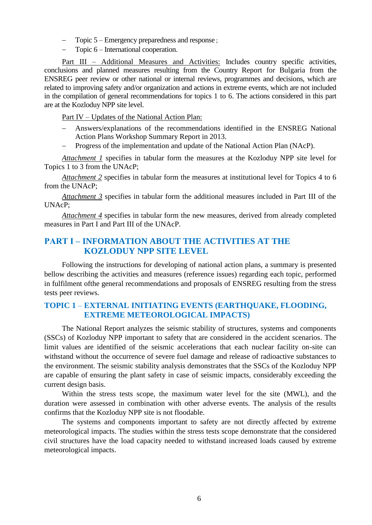- Topic 5 Emergency preparedness and response ;
- Topic 6 International cooperation.

Part III – Additional Measures and Activities: Includes country specific activities, conclusions and planned measures resulting from the Country Report for Bulgaria from the ENSREG peer review or other national or internal reviews, programmes and decisions, which are related to improving safety and/or organization and actions in extreme events, which are not included in the compilation of general recommendations for topics 1 to 6. The actions considered in this part are at the Kozloduy NPP site level.

Part IV – Updates of the National Action Plan:

- Answers/explanations of the recommendations identified in the ENSREG National Action Plans Workshop Summary Report in 2013.
- Progress of the implementation and update of the National Action Plan (NAcP).

*Attachment 1* specifies in tabular form the measures at the Kozloduy NPP site level for Topics 1 to 3 from the UNAcP;

*Attachment 2* specifies in tabular form the measures at institutional level for Topics 4 to 6 from the UNAcP;

*Attachment 3* specifies in tabular form the additional measures included in Part III of the UNAcP;

*Attachment 4* specifies in tabular form the new measures, derived from already completed measures in Part I and Part III of the UNAcP.

## <span id="page-5-0"></span>**PART І – INFORMATION ABOUT THE ACTIVITIES AT THE KOZLODUY NPP SITE LEVEL**

Following the instructions for developing of national action plans, a summary is presented bellow describing the activities and measures (reference issues) regarding each topic, performed in fulfilment ofthe general recommendations and proposals of ENSREG resulting from the stress tests peer reviews.

## <span id="page-5-1"></span>**TOPIC 1** – **EXTERNAL INITIATING EVENTS (EARTHQUAKE, FLOODING, EXTREME METEOROLOGICAL IMPACTS)**

The National Report analyzes the seismic stability of structures, systems and components (SSCs) of Kozloduy NPP important to safety that are considered in the accident scenarios. The limit values are identified of the seismic accelerations that each nuclear facility on-site can withstand without the occurrence of severe fuel damage and release of radioactive substances to the environment. The seismic stability analysis demonstrates that the SSCs of the Kozloduy NPP are capable of ensuring the plant safety in case of seismic impacts, considerably exceeding the current design basis.

Within the stress tests scope, the maximum water level for the site (MWL), and the duration were assessed in combination with other adverse events. The analysis of the results confirms that the Kozloduy NPP site is not floodable.

The systems and components important to safety are not directly affected by extreme meteorological impacts. The studies within the stress tests scope demonstrate that the considered civil structures have the load capacity needed to withstand increased loads caused by extreme meteorological impacts.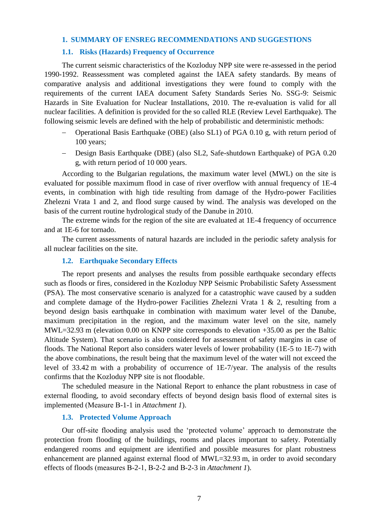## **1. SUMMARY OF ENSREG RECOMMENDATIONS AND SUGGESTIONS**

#### **1.1. Risks (Hazards) Frequency of Occurrence**

The current seismic characteristics of the Kozloduy NPP site were re-assessed in the period 1990-1992. Reassessment was completed against the IAEA safety standards. By means of comparative analysis and additional investigations they were found to comply with the requirements of the current IAEA document Safety Standards Series No. SSG-9: Seismic Hazards in Site Evaluation for Nuclear Installations, 2010. The re-evaluation is valid for all nuclear facilities. A definition is provided for the so called RLE (Review Level Earthquake). The following seismic levels are defined with the help of probabilistic and deterministic methods:

- Operational Basis Earthquake (OBE) (also SL1) of PGA 0.10 g, with return period of 100 years;
- Design Basis Earthquake (DBE) (also SL2, Safe-shutdown Earthquake) of PGA 0.20 g, with return period of 10 000 years.

According to the Bulgarian regulations, the maximum water level (MWL) on the site is evaluated for possible maximum flood in case of river overflow with annual frequency of 1E-4 events, in combination with high tide resulting from damage of the Hydro-power Facilities Zhelezni Vrata 1 and 2, and flood surge caused by wind. The analysis was developed on the basis of the current routine hydrological study of the Danube in 2010.

The extreme winds for the region of the site are evaluated at 1E-4 frequency of occurrence and at 1E-6 for tornado.

The current assessments of natural hazards are included in the periodic safety analysis for all nuclear facilities on the site.

#### **1.2. Earthquake Secondary Effects**

The report presents and analyses the results from possible earthquake secondary effects such as floods or fires, considered in the Kozloduy NPP Seismic Probabilistic Safety Assessment (PSA). The most conservative scenario is analyzed for a catastrophic wave caused by a sudden and complete damage of the Hydro-power Facilities Zhelezni Vrata 1 & 2, resulting from a beyond design basis earthquake in combination with maximum water level of the Danube, maximum precipitation in the region, and the maximum water level on the site, namely MWL=32.93 m (elevation 0.00 on KNPP site corresponds to elevation +35.00 as per the Baltic Altitude System). That scenario is also considered for assessment of safety margins in case of floods. The National Report also considers water levels of lower probability (1E-5 to 1E-7) with the above combinations, the result being that the maximum level of the water will not exceed the level of 33.42 m with a probability of occurrence of 1E-7/year. The analysis of the results confirms that the Kozloduy NPP site is not floodable.

The scheduled measure in the National Report to enhance the plant robustness in case of external flooding, to avoid secondary effects of beyond design basis flood of external sites is implemented (Measure В-1-1 in *Attachment 1*).

#### **1.3. Protected Volume Approach**

Our off-site flooding analysis used the 'protected volume' approach to demonstrate the protection from flooding of the buildings, rooms and places important to safety. Potentially endangered rooms and equipment are identified and possible measures for plant robustness enhancement are planned against external flood of MWL=32.93 m, in order to avoid secondary effects of floods (measures В-2-1, В-2-2 and В-2-3 in *Attachment 1*).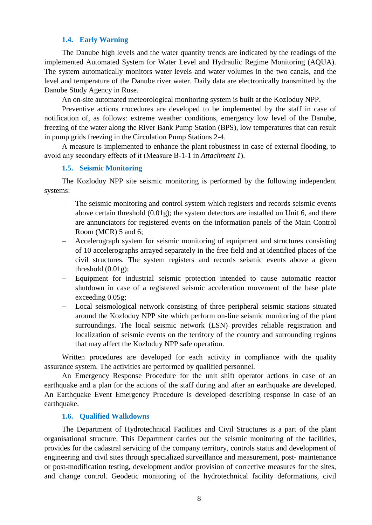## **1.4. Early Warning**

The Danube high levels and the water quantity trends are indicated by the readings of the implemented Automated System for Water Level and Hydraulic Regime Monitoring (AQUA). The system automatically monitors water levels and water volumes in the two canals, and the level and temperature of the Danube river water. Daily data are electronically transmitted by the Danube Study Agency in Ruse.

An on-site automated meteorological monitoring system is built at the Kozloduy NPP.

Preventive actions rrocedures are developed to be implemented by the staff in case of notification of, as follows: extreme weather conditions, emergency low level of the Danube, freezing of the water along the River Bank Pump Station (BPS), low temperatures that can result in pump grids freezing in the Circulation Pump Stations 2-4.

A measure is implemented to enhance the plant robustness in case of external flooding, to avoid any secondary effects of it (Measure В-1-1 in *Attachment 1*).

## **1.5. Seismic Monitoring**

The Kozloduy NPP site seismic monitoring is performed by the following independent systems:

- The seismic monitoring and control system which registers and records seismic events above certain threshold (0.01g); the system detectors are installed on Unit 6, and there are annunciators for registered events on the information panels of the Main Control Room (MCR) 5 and 6;
- Accelerograph system for seismic monitoring of equipment and structures consisting of 10 accelerographs arrayed separately in the free field and at identified places of the civil structures. The system registers and records seismic events above a given threshold (0.01g);
- Equipment for industrial seismic protection intended to cause automatic reactor shutdown in case of a registered seismic acceleration movement of the base plate exceeding 0.05g;
- Local seismological network consisting of three peripheral seismic stations situated around the Kozloduy NPP site which perform on-line seismic monitoring of the plant surroundings. The local seismic network (LSN) provides reliable registration and localization of seismic events on the territory of the country and surrounding regions that may affect the Kozloduy NPP safe operation.

Written procedures are developed for each activity in compliance with the quality assurance system. The activities are performed by qualified personnel.

An Emergency Response Procedure for the unit shift operator actions in case of an earthquake and a plan for the actions of the staff during and after an earthquake are developed. An Earthquake Event Emergency Procedure is developed describing response in case of an earthquake.

## **1.6. Qualified Walkdowns**

The Department of Hydrotechnical Facilities and Civil Structures is a part of the plant organisational structure. This Department carries out the seismic monitoring of the facilities, provides for the cadastral servicing of the company territory, controls status and development of engineering and civil sites through specialized surveillance and measurement, post- maintenance or post-modification testing, development and/or provision of corrective measures for the sites, and change control. Geodetic monitoring of the hydrotechnical facility deformations, civil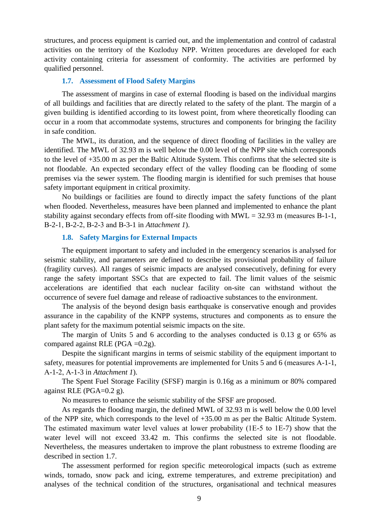structures, and process equipment is carried out, and the implementation and control of cadastral activities on the territory of the Kozloduy NPP. Written procedures are developed for each activity containing criteria for assessment of conformity. The activities are performed by qualified personnel.

#### **1.7. Assessment of Flood Safety Margins**

The assessment of margins in case of external flooding is based on the individual margins of all buildings and facilities that are directly related to the safety of the plant. The margin of a given building is identified according to its lowest point, from where theoretically flooding can occur in a room that accommodate systems, structures and components for bringing the facility in safe condition.

The MWL, its duration, and the sequence of direct flooding of facilities in the valley are identified. The MWL of 32.93 m is well below the 0.00 level of the NPP site which corresponds to the level of +35.00 m as per the Baltic Altitude System. This confirms that the selected site is not floodable. An expected secondary effect of the valley flooding can be flooding of some premises via the sewer system. The flooding margin is identified for such premises that house safety important equipment in critical proximity.

No buildings or facilities are found to directly impact the safety functions of the plant when flooded. Nevertheless, measures have been planned and implemented to enhance the plant stability against secondary effects from off-site flooding with  $MWL = 32.93$  m (measures B-1-1, В-2-1, В-2-2, В-2-3 and В-3-1 in *Attachment 1*).

#### **1.8. Safety Margins for External Impacts**

The equipment important to safety and included in the emergency scenarios is analysed for seismic stability, and parameters are defined to describe its provisional probability of failure (fragility curves). All ranges of seismic impacts are analysed consecutively, defining for every range the safety important SSCs that are expected to fail. The limit values of the seismic accelerations are identified that each nuclear facility on-site can withstand without the occurrence of severe fuel damage and release of radioactive substances to the environment.

The analysis of the beyond design basis earthquake is conservative enough and provides assurance in the capability of the KNPP systems, structures and components as to ensure the plant safety for the maximum potential seismic impacts on the site.

The margin of Units 5 and 6 according to the analyses conducted is 0.13 g or 65% as compared against RLE (PGA =0.2g).

Despite the significant margins in terms of seismic stability of the equipment important to safety, measures for potential improvements are implemented for Units 5 and 6 (measures А-1-1, А-1-2, А-1-3 in *Attachment 1*).

The Spent Fuel Storage Facility (SFSF) margin is 0.16g as a minimum or 80% compared against RLE (PGA=0.2 g).

No measures to enhance the seismic stability of the SFSF are proposed.

As regards the flooding margin, the defined MWL of 32.93 m is well below the 0.00 level of the NPP site, which corresponds to the level of +35.00 m as per the Baltic Altitude System. The estimated maximum water level values at lower probability (1Е-5 to 1Е-7) show that the water level will not exceed 33.42 m. This confirms the selected site is not floodable. Nevertheless, the measures undertaken to improve the plant robustness to extreme flooding are described in section 1.7.

The assessment performed for region specific meteorological impacts (such as extreme winds, tornado, snow pack and icing, extreme temperatures, and extreme precipitation) and analyses of the technical condition of the structures, organisational and technical measures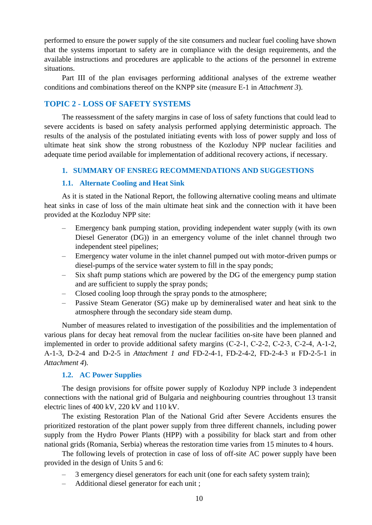performed to ensure the power supply of the site consumers and nuclear fuel cooling have shown that the systems important to safety are in compliance with the design requirements, and the available instructions and procedures are applicable to the actions of the personnel in extreme situations.

Part III of the plan envisages performing additional analyses of the extreme weather conditions and combinations thereof on the KNPP site (measure Е-1 in *Attachment 3*).

## <span id="page-9-0"></span>**TOPIC 2 - LOSS OF SAFETY SYSTEMS**

The reassessment of the safety margins in case of loss of safety functions that could lead to severe accidents is based on safety analysis performed applying deterministic approach. The results of the analysis of the postulated initiating events with loss of power supply and loss of ultimate heat sink show the strong robustness of the Kozloduy NPP nuclear facilities and adequate time period available for implementation of additional recovery actions, if necessary.

## **1. SUMMARY OF ENSREG RECOMMENDATIONS AND SUGGESTIONS**

#### **1.1. Alternate Cooling and Heat Sink**

As it is stated in the National Report, the following alternative cooling means and ultimate heat sinks in case of loss of the main ultimate heat sink and the connection with it have been provided at the Kozloduy NPP site:

- Emergency bank pumping station, providing independent water supply (with its own Diesel Generator (DG)) in an emergency volume of the inlet channel through two independent steel pipelines;
- Emergency water volume in the inlet channel pumped out with motor-driven pumps or diesel-pumps of the service water system to fill in the spay ponds;
- Six shaft pump stations which are powered by the DG of the emergency pump station and are sufficient to supply the spray ponds;
- Closed cooling loop through the spray ponds to the atmosphere;
- Passive Steam Generator (SG) make up by demineralised water and heat sink to the atmosphere through the secondary side steam dump.

Number of measures related to investigation of the possibilities and the implementation of various plans for decay heat removal from the nuclear facilities on-site have been planned and implemented in order to provide additional safety margins (С-2-1, С-2-2, С-2-3, С-2-4, А-1-2, А-1-3, D-2-4 and D-2-5 in *Attachment 1 and* FD-2-4-1, FD-2-4-2, FD-2-4-3 и FD-2-5-1 in *Attachment 4*).

#### **1.2. AC Power Supplies**

The design provisions for offsite power supply of Kozloduy NPP include 3 independent connections with the national grid of Bulgaria and neighbouring countries throughout 13 transit electric lines of 400 kV, 220 kV and 110 kV.

The existing Restoration Plan of the National Grid after Severe Accidents ensures the prioritized restoration of the plant power supply from three different channels, including power supply from the Hydro Power Plants (HPP) with a possibility for black start and from other national grids (Romania, Serbia) whereas the restoration time varies from 15 minutes to 4 hours.

The following levels of protection in case of loss of off-site AC power supply have been provided in the design of Units 5 and 6:

- 3 emergency diesel generators for each unit (one for each safety system train);
- Additional diesel generator for each unit ;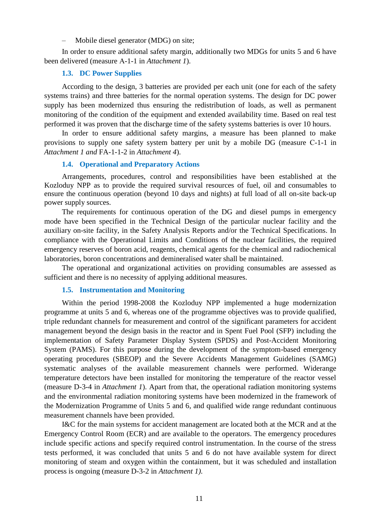– Mobile diesel generator (MDG) on site;

In order to ensure additional safety margin, additionally two MDGs for units 5 and 6 have been delivered (measure А-1-1 in *Attachment 1*).

#### **1.3. DC Power Supplies**

According to the design, 3 batteries are provided per each unit (one for each of the safety systems trains) and three batteries for the normal operation systems. The design for DC power supply has been modernized thus ensuring the redistribution of loads, as well as permanent monitoring of the condition of the equipment and extended availability time. Based on real test performed it was proven that the discharge time of the safety systems batteries is over 10 hours.

In order to ensure additional safety margins, a measure has been planned to make provisions to supply one safety system battery per unit by a mobile DG (measure С-1-1 in *Attachment 1 and* FA-1-1-2 in *Attachment 4*).

#### **1.4. Operational and Preparatory Actions**

Arrangements, procedures, control and responsibilities have been established at the Kozloduy NPP as to provide the required survival resources of fuel, oil and consumables to ensure the continuous operation (beyond 10 days and nights) at full load of all on-site back-up power supply sources.

The requirements for continuous operation of the DG and diesel pumps in emergency mode have been specified in the Technical Design of the particular nuclear facility and the auxiliary on-site facility, in the Safety Analysis Reports and/or the Technical Specifications. In compliance with the Operational Limits and Conditions of the nuclear facilities, the required emergency reserves of boron acid, reagents, chemical agents for the chemical and radiochemical laboratories, boron concentrations and demineralised water shall be maintained.

The operational and organizational activities on providing consumables are assessed as sufficient and there is no necessity of applying additional measures.

## **1.5. Instrumentation and Monitoring**

Within the period 1998-2008 the Kozloduy NPP implemented a huge modernization programme at units 5 and 6, whereas one of the programme objectives was to provide qualified, triple redundant channels for measurement and control of the significant parameters for accident management beyond the design basis in the reactor and in Spent Fuel Pool (SFP) including the implementation of Safety Parameter Display System (SPDS) and Post-Accident Monitoring System (PAMS). For this purpose during the development of the symptom-based emergency operating procedures (SBEOP) and the Severe Accidents Management Guidelines (SAMG) systematic analyses of the available measurement channels were performed. Widerange temperature detectors have been installed for monitoring the temperature of the reactor vessel (measure D-3-4 in *Attachment 1*). Apart from that, the operational radiation monitoring systems and the environmental radiation monitoring systems have been modernized in the framework of the Modernization Programme of Units 5 and 6, and qualified wide range redundant continuous measurement channels have been provided.

I&C for the main systems for accident management are located both at the MCR and at the Emergency Control Room (ECR) and are available to the operators. The emergency procedures include specific actions and specify required control instrumentation. In the course of the stress tests performed, it was concluded that units 5 and 6 do not have available system for direct monitoring of steam and oxygen within the containment, but it was scheduled and installation process is ongoing (measure D-3-2 in *Attachment 1)*.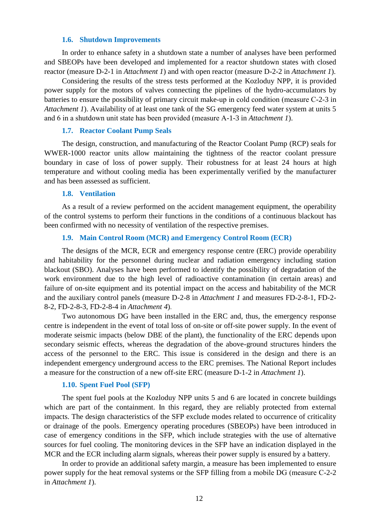#### **1.6. Shutdown Improvements**

In order to enhance safety in a shutdown state a number of analyses have been performed and SBEOPs have been developed and implemented for a reactor shutdown states with closed reactor (measure D-2-1 in *Attachment 1*) and with open reactor (measure D-2-2 in *Attachment 1*).

Considering the results of the stress tests performed at the Kozloduy NPP, it is provided power supply for the motors of valves connecting the pipelines of the hydro-accumulators by batteries to ensure the possibility of primary circuit make-up in cold condition (measure С-2-3 in *Attachment 1*). Availability of at least one tank of the SG emergency feed water system at units 5 and 6 in a shutdown unit state has been provided (measure А-1-3 in *Attachment 1*).

#### **1.7. Reactor Coolant Pump Seals**

The design, construction, and manufacturing of the Reactor Coolant Pump (RCP) seals for WWER-1000 reactor units allow maintaining the tightness of the reactor coolant pressure boundary in case of loss of power supply. Their robustness for at least 24 hours at high temperature and without cooling media has been experimentally verified by the manufacturer and has been assessed as sufficient.

#### **1.8. Ventilation**

As a result of a review performed on the accident management equipment, the operability of the control systems to perform their functions in the conditions of a continuous blackout has been confirmed with no necessity of ventilation of the respective premises.

#### **1.9. Main Control Room (MCR) and Emergency Control Room (ECR)**

The designs of the MCR, ECR and emergency response centre (ERC) provide operability and habitability for the personnel during nuclear and radiation emergency including station blackout (SBO). Analyses have been performed to identify the possibility of degradation of the work environment due to the high level of radioactive contamination (in certain areas) and failure of on-site equipment and its potential impact on the access and habitability of the MCR and the auxiliary control panels (measure D-2-8 in *Attachment 1* and measures FD-2-8-1, FD-2- 8-2, FD-2-8-3, FD-2-8-4 in *Attachment 4*).

Two autonomous DG have been installed in the ERC and, thus, the emergency response centre is independent in the event of total loss of on-site or off-site power supply. In the event of moderate seismic impacts (below DBE of the plant), the functionality of the ERC depends upon secondary seismic effects, whereas the degradation of the above-ground structures hinders the access of the personnel to the ERC. This issue is considered in the design and there is an independent emergency underground access to the ERC premises. The National Report includes a measure for the construction of a new off-site ERC (measure D-1-2 in *Attachment 1*).

#### **1.10. Spent Fuel Pool (SFP)**

The spent fuel pools at the Kozloduy NPP units 5 and 6 are located in concrete buildings which are part of the containment. In this regard, they are reliably protected from external impacts. The design characteristics of the SFP exclude modes related to occurrence of criticality or drainage of the pools. Emergency operating procedures (SBEOPs) have been introduced in case of emergency conditions in the SFP, which include strategies with the use of alternative sources for fuel cooling. The monitoring devices in the SFP have an indication displayed in the MCR and the ECR including alarm signals, whereas their power supply is ensured by a battery.

In order to provide an additional safety margin, a measure has been implemented to ensure power supply for the heat removal systems or the SFP filling from a mobile DG (measure С-2-2 in *Attachment 1*).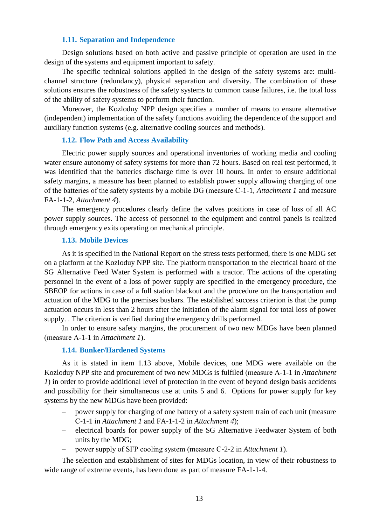## **1.11. Separation and Independence**

Design solutions based on both active and passive principle of operation are used in the design of the systems and equipment important to safety.

The specific technical solutions applied in the design of the safety systems are: multichannel structure (redundancy), physical separation and diversity. The combination of these solutions ensures the robustness of the safety systems to common cause failures, i.e. the total loss of the ability of safety systems to perform their function.

Moreover, the Kozloduy NPP design specifies a number of means to ensure alternative (independent) implementation of the safety functions avoiding the dependence of the support and auxiliary function systems (e.g. alternative cooling sources and methods).

#### **1.12. Flow Path and Access Availability**

Electric power supply sources and operational inventories of working media and cooling water ensure autonomy of safety systems for more than 72 hours. Based on real test performed, it was identified that the batteries discharge time is over 10 hours. In order to ensure additional safety margins, a measure has been planned to establish power supply allowing charging of one of the batteries of the safety systems by a mobile DG (measure С-1-1, *Attachment 1* and measure FA-1-1-2, *Attachment 4*).

The emergency procedures clearly define the valves positions in case of loss of all AC power supply sources. The access of personnel to the equipment and control panels is realized through emergency exits operating on mechanical principle.

## **1.13. Mobile Devices**

As it is specified in the National Report on the stress tests performed, there is one MDG set on a platform at the Kozloduy NPP site. The platform transportation to the electrical board of the SG Alternative Feed Water System is performed with a tractor. The actions of the operating personnel in the event of a loss of power supply are specified in the emergency procedure, the SBEOP for actions in case of a full station blackout and the procedure on the transportation and actuation of the MDG to the premises busbars. The established success criterion is that the pump actuation occurs in less than 2 hours after the initiation of the alarm signal for total loss of power supply. . The criterion is verified during the emergency drills performed.

In order to ensure safety margins, the procurement of two new MDGs have been planned (measure А-1-1 in *Attachment 1*).

#### **1.14. Bunker/Hardened Systems**

As it is stated in item 1.13 above, Mobile devices, one MDG were available on the Kozloduy NPP site and procurement of two new MDGs is fulfiled (measure А-1-1 in *Attachment 1*) in order to provide additional level of protection in the event of beyond design basis accidents and possibility for their simultaneous use at units 5 and 6. Options for power supply for key systems by the new MDGs have been provided:

- power supply for charging of one battery of a safety system train of each unit (measure С-1-1 in *Attachment 1* and FA-1-1-2 in *Attachment 4*);
- electrical boards for power supply of the SG Alternative Feedwater System of both units by the MDG;
- power supply of SFP cooling system (measure С-2-2 in *Attachment 1*).

The selection and establishment of sites for MDGs location, in view of their robustness to wide range of extreme events, has been done as part of measure FA-1-1-4.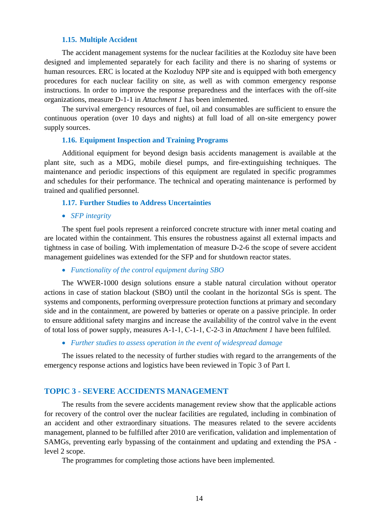## **1.15. Multiple Accident**

The accident management systems for the nuclear facilities at the Kozloduy site have been designed and implemented separately for each facility and there is no sharing of systems or human resources. ERC is located at the Kozloduy NPP site and is equipped with both emergency procedures for each nuclear facility on site, as well as with common emergency response instructions. In order to improve the response preparedness and the interfaces with the off-site organizations, measure D-1-1 in *Attachment 1* has been imlemented.

The survival emergency resources of fuel, oil and consumables are sufficient to ensure the continuous operation (over 10 days and nights) at full load of all on-site emergency power supply sources.

## **1.16. Equipment Inspection and Training Programs**

Additional equipment for beyond design basis accidents management is available at the plant site, such as a MDG, mobile diesel pumps, and fire-extinguishing techniques. The maintenance and periodic inspections of this equipment are regulated in specific programmes and schedules for their performance. The technical and operating maintenance is performed by trained and qualified personnel.

## **1.17. Further Studies to Address Uncertainties**

*SFP integrity*

The spent fuel pools represent a reinforced concrete structure with inner metal coating and are located within the containment. This ensures the robustness against all external impacts and tightness in case of boiling. With implementation of measure D-2-6 the scope of severe accident management guidelines was extended for the SFP and for shutdown reactor states.

## *Functionality of the control equipment during SBO*

The WWER-1000 design solutions ensure a stable natural circulation without operator actions in case of station blackout (SBO) until the coolant in the horizontal SGs is spent. The systems and components, performing overpressure protection functions at primary and secondary side and in the containment, are powered by batteries or operate on a passive principle. In order to ensure additional safety margins and increase the availability of the control valve in the event of total loss of power supply, measures A-1-1, С-1-1, С-2-3 in *Attachment 1* have been fulfiled.

*Further studies to assess operation in the event of widespread damage* 

The issues related to the necessity of further studies with regard to the arrangements of the emergency response actions and logistics have been reviewed in Topic 3 of Part I.

## <span id="page-13-0"></span>**TOPIC 3 - SEVERE ACCIDENTS MANAGEMENT**

The results from the severe accidents management review show that the applicable actions for recovery of the control over the nuclear facilities are regulated, including in combination of an accident and other extraordinary situations. The measures related to the severe accidents management, planned to be fulfilled after 2010 are verification, validation and implementation of SAMGs, preventing early bypassing of the containment and updating and extending the PSA level 2 scope.

The programmes for completing those actions have been implemented.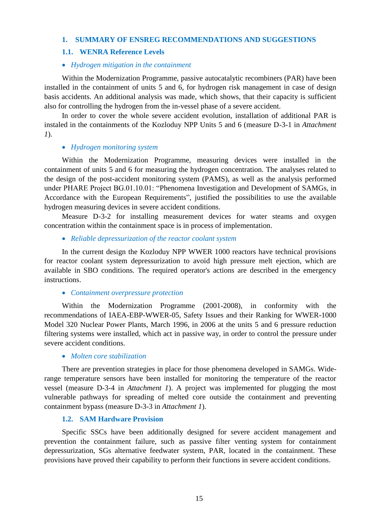## **1. SUMMARY OF ENSREG RECOMMENDATIONS AND SUGGESTIONS**

## **1.1. WENRA Reference Levels**

#### *Hydrogen mitigation in the containment*

Within the Modernization Programme, passive autocatalytic recombiners (PAR) have been installed in the containment of units 5 and 6, for hydrogen risk management in case of design basis accidents. An additional analysis was made, which shows, that their capacity is sufficient also for controlling the hydrogen from the in-vessel phase of a severe accident.

In order to cover the whole severe accident evolution, installation of additional PAR is instaled in the containments of the Kozloduy NPP Units 5 and 6 (measure D-3-1 in *Attachment 1*).

#### *Hydrogen monitoring system*

Within the Modernization Programme, measuring devices were installed in the containment of units 5 and 6 for measuring the hydrogen concentration. The analyses related to the design of the post-accident monitoring system (PAMS), as well as the analysis performed under PHARE Project BG.01.10.01: "Phenomena Investigation and Development of SAMGs, in Accordance with the European Requirements", justified the possibilities to use the available hydrogen measuring devices in severe accident conditions.

Measure D-3-2 for installing measurement devices for water steams and oxygen concentration within the containment space is in process of implementation.

#### *Reliable depressurization of the reactor coolant system*

In the current design the Kozloduy NPP WWER 1000 reactors have technical provisions for reactor coolant system depressurization to avoid high pressure melt ejection, which are available in SBO conditions. The required operator's actions are described in the emergency instructions.

#### *Containment overpressure protection*

Within the Modernization Programme (2001-2008), in conformity with the recommendations of IAEA-EBP-WWER-05, Safety Issues and their Ranking for WWER-1000 Model 320 Nuclear Power Plants, March 1996, in 2006 at the units 5 and 6 pressure reduction filtering systems were installed, which act in passive way, in order to control the pressure under severe accident conditions.

#### *Molten core stabilization*

There are prevention strategies in place for those phenomena developed in SAMGs. Widerange temperature sensors have been installed for monitoring the temperature of the reactor vessel (measure D-3-4 in *Attachment 1*). A project was implemented for plugging the most vulnerable pathways for spreading of melted core outside the containment and preventing containment bypass (measure D-3-3 in *Attachment 1*).

## **1.2. SAM Hardware Provision**

Specific SSCs have been additionally designed for severe accident management and prevention the containment failure, such as passive filter venting system for containment depressurization, SGs alternative feedwater system, PAR, located in the containment. These provisions have proved their capability to perform their functions in severe accident conditions.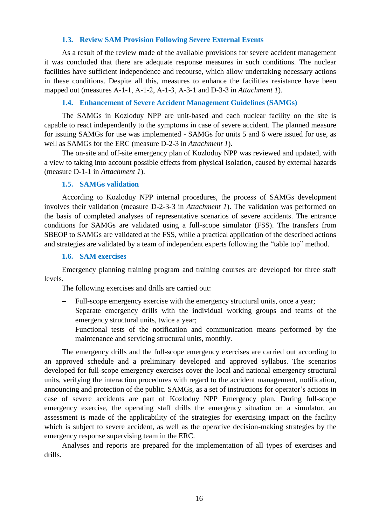## **1.3. Review SAM Provision Following Severe External Events**

As a result of the review made of the available provisions for severe accident management it was concluded that there are adequate response measures in such conditions. The nuclear facilities have sufficient independence and recourse, which allow undertaking necessary actions in these conditions. Despite all this, measures to enhance the facilities resistance have been mapped out (measures А-1-1, А-1-2, А-1-3, А-3-1 and D-3-3 in *Attachment 1*).

## **1.4. Enhancement of Severe Accident Management Guidelines (SAMGs)**

The SAMGs in Kozloduy NPP are unit-based and each nuclear facility on the site is capable to react independently to the symptoms in case of severe accident. The planned measure for issuing SAMGs for use was implemented - SAMGs for units 5 and 6 were issued for use, as well as SAMGs for the ERC (measure D-2-3 in *Attachment 1*).

The on-site and off-site emergency plan of Kozloduy NPP was reviewed and updated, with a view to taking into account possible effects from physical isolation, caused by external hazards (measure D-1-1 in *Attachment 1*).

#### **1.5. SAMGs validation**

According to Kozloduy NPP internal procedures, the process of SAMGs development involves their validation (measure D-2-3-3 in *Attachment 1*). The validation was performed on the basis of completed analyses of representative scenarios of severe accidents. The entrance conditions for SAMGs are validated using a full-scope simulator (FSS). The transfers from SBEOP to SAMGs are validated at the FSS, while a practical application of the described actions and strategies are validated by a team of independent experts following the "table top" method.

## **1.6. SAM exercises**

Emergency planning training program and training courses are developed for three staff levels.

The following exercises and drills are carried out:

- Full-scope emergency exercise with the emergency structural units, once a year;
- Separate emergency drills with the individual working groups and teams of the emergency structural units, twice a year;
- Functional tests of the notification and communication means performed by the maintenance and servicing structural units, monthly.

The emergency drills and the full-scope emergency exercises are carried out according to an approved schedule and a preliminary developed and approved syllabus. The scenarios developed for full-scope emergency exercises cover the local and national emergency structural units, verifying the interaction procedures with regard to the accident management, notification, announcing and protection of the public. SAMGs, as a set of instructions for operator's actions in case of severe accidents are part of Kozloduy NPP Emergency plan. During full-scope emergency exercise, the operating staff drills the emergency situation on a simulator, an assessment is made of the applicability of the strategies for exercising impact on the facility which is subject to severe accident, as well as the operative decision-making strategies by the emergency response supervising team in the ERC.

Analyses and reports are prepared for the implementation of all types of exercises and drills.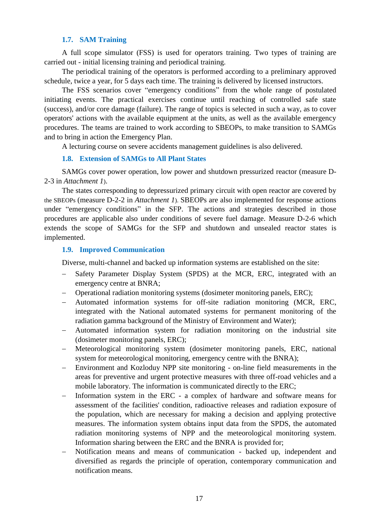## **1.7. SAM Training**

A full scope simulator (FSS) is used for operators training. Two types of training are carried out - initial licensing training and periodical training.

The periodical training of the operators is performed according to a preliminary approved schedule, twice a year, for 5 days each time. The training is delivered by licensed instructors.

The FSS scenarios cover "emergency conditions" from the whole range of postulated initiating events. The practical exercises continue until reaching of controlled safe state (success), and/or core damage (failure). The range of topics is selected in such a way, as to cover operators' actions with the available equipment at the units, as well as the available emergency procedures. The teams are trained to work according to SBEOPs, to make transition to SAMGs and to bring in action the Emergency Plan.

A lecturing course on severe accidents management guidelines is also delivered.

## **1.8. Extension of SAMGs to All Plant States**

SAMGs cover power operation, low power and shutdown pressurized reactor (measure D-2-3 in *Attachment 1*).

The states corresponding to depressurized primary circuit with open reactor are covered by the SBEOPs (measure D-2-2 in *Attachment 1*). SBEOPs are also implemented for response actions under "emergency conditions" in the SFP. The actions and strategies described in those procedures are applicable also under conditions of severe fuel damage. Measure D-2-6 which extends the scope of SAMGs for the SFP and shutdown and unsealed reactor states is implemented.

## **1.9. Improved Communication**

Diverse, multi-channel and backed up information systems are established on the site:

- Safety Parameter Display System (SPDS) at the MCR, ERC, integrated with an emergency centre at BNRA;
- Operational radiation monitoring systems (dosimeter monitoring panels, ERC);
- Automated information systems for off-site radiation monitoring (MCR, ERC, integrated with the National automated systems for permanent monitoring of the radiation gamma background of the Ministry of Environment and Water);
- Automated information system for radiation monitoring on the industrial site (dosimeter monitoring panels, ERC);
- Meteorological monitoring system (dosimeter monitoring panels, ERC, national system for meteorological monitoring, emergency centre with the BNRA);
- Environment and Kozloduy NPP site monitoring on-line field measurements in the areas for preventive and urgent protective measures with three off-road vehicles and a mobile laboratory. The information is communicated directly to the ERC;
- Information system in the ERC a complex of hardware and software means for assessment of the facilities' condition, radioactive releases and radiation exposure of the population, which are necessary for making a decision and applying protective measures. The information system obtains input data from the SPDS, the automated radiation monitoring systems of NPP and the meteorological monitoring system. Information sharing between the ERC and the BNRA is provided for;
- Notification means and means of communication backed up, independent and diversified as regards the principle of operation, contemporary communication and notification means.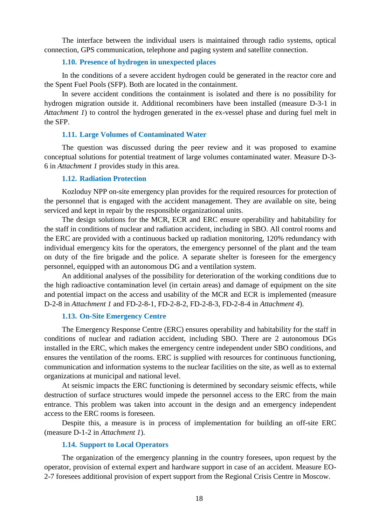The interface between the individual users is maintained through radio systems, optical connection, GPS communication, telephone and paging system and satellite connection.

## **1.10. Presence of hydrogen in unexpected places**

In the conditions of a severe accident hydrogen could be generated in the reactor core and the Spent Fuel Pools (SFP). Both are located in the containment.

In severe accident conditions the containment is isolated and there is no possibility for hydrogen migration outside it. Additional recombiners have been installed (measure D-3-1 in *Attachment 1*) to control the hydrogen generated in the ex-vessel phase and during fuel melt in the SFP.

#### **1.11. Large Volumes of Contaminated Water**

The question was discussed during the peer review and it was proposed to examine conceptual solutions for potential treatment of large volumes contaminated water. Measure D-3- 6 in *Attachment 1* provides study in this area.

## **1.12. Radiation Protection**

Kozloduy NPP on-site emergency plan provides for the required resources for protection of the personnel that is engaged with the accident management. They are available on site, being serviced and kept in repair by the responsible organizational units.

The design solutions for the MCR, ECR and ERC ensure operability and habitability for the staff in conditions of nuclear and radiation accident, including in SBO. All control rooms and the ERC are provided with a continuous backed up radiation monitoring, 120% redundancy with individual emergency kits for the operators, the emergency personnel of the plant and the team on duty of the fire brigade and the police. A separate shelter is foreseen for the emergency personnel, equipped with an autonomous DG and a ventilation system.

An additional analyses of the possibility for deterioration of the working conditions due to the high radioactive contamination level (in certain areas) and damage of equipment on the site and potential impact on the access and usability of the MCR and ECR is implemented (measure D-2-8 in *Attachment 1* and FD-2-8-1, FD-2-8-2, FD-2-8-3, FD-2-8-4 in *Attachment 4*).

#### **1.13. On-Site Emergency Centre**

The Emergency Response Centre (ERC) ensures operability and habitability for the staff in conditions of nuclear and radiation accident, including SBO. There are 2 autonomous DGs installed in the ERC, which makes the emergency centre independent under SBO conditions, and ensures the ventilation of the rooms. ERC is supplied with resources for continuous functioning, communication and information systems to the nuclear facilities on the site, as well as to external organizations at municipal and national level.

At seismic impacts the ERC functioning is determined by secondary seismic effects, while destruction of surface structures would impede the personnel access to the ERC from the main entrance. This problem was taken into account in the design and an emergency independent access to the ERC rooms is foreseen.

Despite this, a measure is in process of implementation for building an off-site ERC (measure D-1-2 in *Attachment 1*).

#### **1.14. Support to Local Operators**

The organization of the emergency planning in the country foresees, upon request by the operator, provision of external expert and hardware support in case of an accident. Measure EO-2-7 foresees additional provision of expert support from the Regional Crisis Centre in Moscow.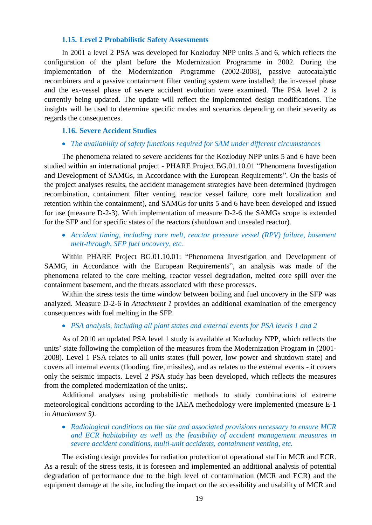## **1.15. Level 2 Probabilistic Safety Assessments**

In 2001 a level 2 PSA was developed for Kozloduy NPP units 5 and 6, which reflects the configuration of the plant before the Modernization Programme in 2002. During the implementation of the Modernization Programme (2002-2008), passive autocatalytic recombiners and a passive containment filter venting system were installed; the in-vessel phase and the ex-vessel phase of severe accident evolution were examined. The PSA level 2 is currently being updated. The update will reflect the implemented design modifications. The insights will be used to determine specific modes and scenarios depending on their severity as regards the consequences.

## **1.16. Severe Accident Studies**

#### *The availability of safety functions required for SAM under different circumstances*

The phenomena related to severe accidents for the Kozloduy NPP units 5 and 6 have been studied within an international project - PHARE Project BG.01.10.01 "Phenomena Investigation and Development of SAMGs, in Accordance with the European Requirements". On the basis of the project analyses results, the accident management strategies have been determined (hydrogen recombination, containment filter venting, reactor vessel failure, core melt localization and retention within the containment), and SAMGs for units 5 and 6 have been developed and issued for use (measure D-2-3). With implementation of measure D-2-6 the SAMGs scope is extended for the SFP and for specific states of the reactors (shutdown and unsealed reactor).

 *Accident timing, including core melt, reactor pressure vessel (RPV) failure, basement melt-through, SFP fuel uncovery, etc.*

Within PHARE Project BG.01.10.01: "Phenomena Investigation and Development of SAMG, in Accordance with the European Requirements", an analysis was made of the phenomena related to the core melting, reactor vessel degradation, melted core spill over the containment basement, and the threats associated with these processes.

Within the stress tests the time window between boiling and fuel uncovery in the SFP was analyzed. Measure D-2-6 in *Attachment 1* provides an additional examination of the emergency consequences with fuel melting in the SFP.

#### *PSA analysis, including all plant states and external events for PSA levels 1 and 2*

As of 2010 an updated PSA level 1 study is available at Kozloduy NPP, which reflects the units' state following the completion of the measures from the Modernization Program in (2001- 2008). Level 1 PSA relates to all units states (full power, low power and shutdown state) and covers all internal events (flooding, fire, missiles), and as relates to the external events - it covers only the seismic impacts. Level 2 PSA study has been developed, which reflects the measures from the completed modernization of the units;.

Additional analyses using probabilistic methods to study combinations of extreme meteorological conditions according to the IAEA methodology were implemented (measure E-1 in *Attachment 3)*.

 *Radiological conditions on the site and associated provisions necessary to ensure MCR and ECR habitability as well as the feasibility of accident management measures in severe accident conditions, multi-unit accidents, containment venting, etc.*

The existing design provides for radiation protection of operational staff in MCR and ECR. As a result of the stress tests, it is foreseen and implemented an additional analysis of potential degradation of performance due to the high level of contamination (MCR and ECR) and the equipment damage at the site, including the impact on the accessibility and usability of MCR and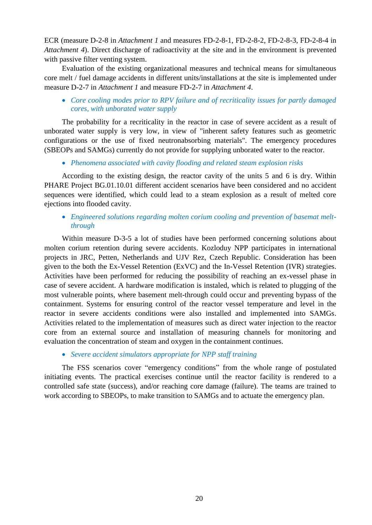ECR (measure D-2-8 in *Attachment 1* and measures FD-2-8-1, FD-2-8-2, FD-2-8-3, FD-2-8-4 in *Attachment 4*). Direct discharge of radioactivity at the site and in the environment is prevented with passive filter venting system.

Evaluation of the existing organizational measures and technical means for simultaneous core melt / fuel damage accidents in different units/installations at the site is implemented under measure D-2-7 in *Attachment 1* and measure FD-2-7 in *Attachment 4*.

## *Core cooling modes prior to RPV failure and of recriticality issues for partly damaged cores, with unborated water supply*

The probability for a recriticality in the reactor in case of severe accident as a result of unborated water supply is very low, in view of "inherent safety features such as geometric configurations or the use of fixed neutronabsorbing materials". The emergency procedures (SBEOPs and SAMGs) currently do not provide for supplying unborated water to the reactor.

## *Phenomena associated with cavity flooding and related steam explosion risks*

According to the existing design, the reactor cavity of the units 5 and 6 is dry. Within PHARE Project BG.01.10.01 different accident scenarios have been considered and no accident sequences were identified, which could lead to a steam explosion as a result of melted core ejections into flooded cavity.

## *Engineered solutions regarding molten corium cooling and prevention of basemat meltthrough*

Within measure D-3-5 a lot of studies have been performed concerning solutions about molten corium retention during severe accidents. Kozloduy NPP participates in international projects in JRC, Petten, Netherlands and UJV Rez, Czech Republic. Consideration has been given to the both the Ex-Vessel Retention (ExVC) and the In-Vessel Retention (IVR) strategies. Activities have been performed for reducing the possibility of reaching an ex-vessel phase in case of severe accident. A hardware modification is instaled, which is related to plugging of the most vulnerable points, where basement melt-through could occur and preventing bypass of the containment. Systems for ensuring control of the reactor vessel temperature and level in the reactor in severe accidents conditions were also installed and implemented into SAMGs. Activities related to the implementation of measures such as direct water injection to the reactor core from an external source and installation of measuring channels for monitoring and evaluation the concentration of steam and oxygen in the containment continues.

## *Severe accident simulators appropriate for NPP staff training*

The FSS scenarios cover "emergency conditions" from the whole range of postulated initiating events. The practical exercises continue until the reactor facility is rendered to a controlled safe state (success), and/or reaching core damage (failure). The teams are trained to work according to SBEOPs, to make transition to SAMGs and to actuate the emergency plan.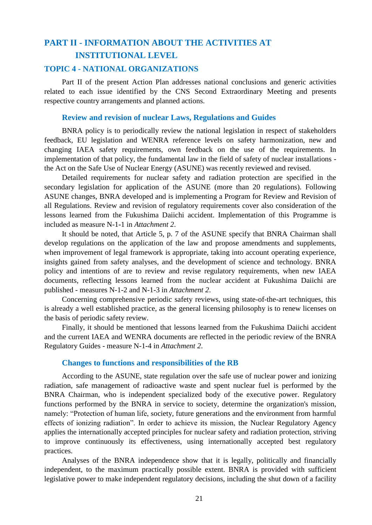# <span id="page-20-0"></span>**PART ІI - INFORMATION ABOUT THE ACTIVITIES AT INSTITUTIONAL LEVEL**

## <span id="page-20-1"></span>**TOPIC 4 - NATIONAL ORGANIZATIONS**

Part II of the present Action Plan addresses national conclusions and generic activities related to each issue identified by the CNS Second Extraordinary Meeting and presents respective country arrangements and planned actions.

## **Review and revision of nuclear Laws, Regulations and Guides**

BNRA policy is to periodically review the national legislation in respect of stakeholders feedback, EU legislation and WENRA reference levels on safety harmonization, new and changing IAEA safety requirements, own feedback on the use of the requirements. In implementation of that policy, the fundamental law in the field of safety of nuclear installations the Act on the Safe Use of Nuclear Energy (ASUNE) was recently reviewed and revised.

Detailed requirements for nuclear safety and radiation protection are specified in the secondary legislation for application of the ASUNE (more than 20 regulations). Following ASUNE changes, BNRA developed and is implementing a Program for Review and Revision of all Regulations. Review and revision of regulatory requirements cover also consideration of the lessons learned from the Fukushima Daiichi accident. Implementation of this Programme is included as measure N-1-1 in *Attachment 2*.

It should be noted, that Article 5, p. 7 of the ASUNE specify that BNRA Chairman shall develop regulations on the application of the law and propose amendments and supplements, when improvement of legal framework is appropriate, taking into account operating experience, insights gained from safety analyses, and the development of science and technology. BNRA policy and intentions of are to review and revise regulatory requirements, when new IAEA documents, reflecting lessons learned from the nuclear accident at Fukushima Daiichi are published - measures N-1-2 and N-1-3 in *Attachment 2*.

Concerning comprehensive periodic safety reviews, using state-of-the-art techniques, this is already a well established practice, as the general licensing philosophy is to renew licenses on the basis of periodic safety review.

Finally, it should be mentioned that lessons learned from the Fukushima Daiichi accident and the current IAEA and WENRA documents are reflected in the periodic review of the BNRA Regulatory Guides - measure N-1-4 in *Attachment 2*.

## **Changes to functions and responsibilities of the RB**

According to the ASUNE, state regulation over the safe use of nuclear power and ionizing radiation, safe management of radioactive waste and spent nuclear fuel is performed by the BNRA Chairman, who is independent specialized body of the executive power. Regulatory functions performed by the BNRA in service to society, determine the organization's mission, namely: "Protection of human life, society, future generations and the environment from harmful effects of ionizing radiation". In order to achieve its mission, the Nuclear Regulatory Agency applies the internationally accepted principles for nuclear safety and radiation protection, striving to improve continuously its effectiveness, using internationally accepted best regulatory practices.

Analyses of the BNRA independence show that it is legally, politically and financially independent, to the maximum practically possible extent. BNRA is provided with sufficient legislative power to make independent regulatory decisions, including the shut down of a facility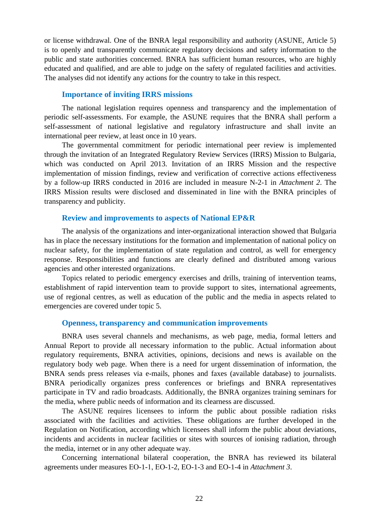or license withdrawal. One of the BNRA legal responsibility and authority (ASUNE, Article 5) is to openly and transparently communicate regulatory decisions and safety information to the public and state authorities concerned. BNRA has sufficient human resources, who are highly educated and qualified, and are able to judge on the safety of regulated facilities and activities. The analyses did not identify any actions for the country to take in this respect.

## **Importance of inviting IRRS missions**

The national legislation requires openness and transparency and the implementation of periodic self-assessments. For example, the ASUNE requires that the BNRA shall perform a self-assessment of national legislative and regulatory infrastructure and shall invite an international peer review, at least once in 10 years.

The governmental commitment for periodic international peer review is implemented through the invitation of an Integrated Regulatory Review Services (IRRS) Mission to Bulgaria, which was conducted on April 2013. Invitation of an IRRS Mission and the respective implementation of mission findings, review and verification of corrective actions effectiveness by a follow-up IRRS conducted in 2016 are included in measure N-2-1 in *Attachment 2*. The IRRS Mission results were disclosed and disseminated in line with the BNRA principles of transparency and publicity.

## **Review and improvements to aspects of National EP&R**

The analysis of the organizations and inter-organizational interaction showed that Bulgaria has in place the necessary institutions for the formation and implementation of national policy on nuclear safety, for the implementation of state regulation and control, as well for emergency response. Responsibilities and functions are clearly defined and distributed among various agencies and other interested organizations.

Topics related to periodic emergency exercises and drills, training of intervention teams, establishment of rapid intervention team to provide support to sites, international agreements, use of regional centres, as well as education of the public and the media in aspects related to emergencies are covered under topic 5.

#### **Openness, transparency and communication improvements**

BNRA uses several channels and mechanisms, as web page, media, formal letters and Annual Report to provide all necessary information to the public. Actual information about regulatory requirements, BNRA activities, opinions, decisions and news is available on the regulatory body web page. When there is a need for urgent dissemination of information, the BNRA sends press releases via e-mails, phones and faxes (available database) to journalists. BNRA periodically organizes press conferences or briefings and BNRA representatives participate in TV and radio broadcasts. Additionally, the BNRA organizes training seminars for the media, where public needs of information and its clearness are discussed.

The ASUNE requires licensees to inform the public about possible radiation risks associated with the facilities and activities. These obligations are further developed in the Regulation on Notification, according which licensees shall inform the public about deviations, incidents and accidents in nuclear facilities or sites with sources of ionising radiation, through the media, internet or in any other adequate way.

Concerning international bilateral cooperation, the BNRA has reviewed its bilateral agreements under measures ЕО-1-1, ЕО-1-2, EO-1-3 and EO-1-4 in *Attachment 3*.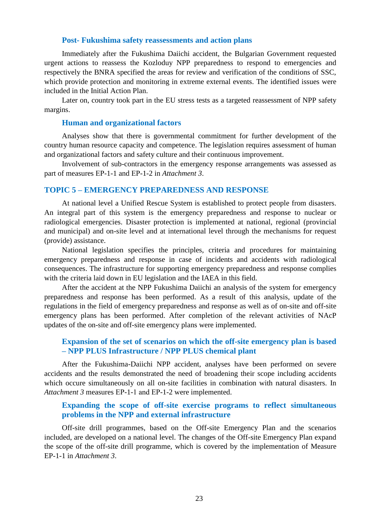## **Post- Fukushima safety reassessments and action plans**

Immediately after the Fukushima Daiichi accident, the Bulgarian Government requested urgent actions to reassess the Kozloduy NPP preparedness to respond to emergencies and respectively the BNRA specified the areas for review and verification of the conditions of SSC, which provide protection and monitoring in extreme external events. The identified issues were included in the Initial Action Plan.

Later on, country took part in the EU stress tests as a targeted reassessment of NPP safety margins.

#### **Human and organizational factors**

Analyses show that there is governmental commitment for further development of the country human resource capacity and competence. The legislation requires assessment of human and organizational factors and safety culture and their continuous improvement.

Involvement of sub-contractors in the emergency response arrangements was assessed as part of measures EР-1-1 and EР-1-2 in *Attachment 3*.

## <span id="page-22-0"></span>**TOPIC 5 – EMERGENCY PREPAREDNESS AND RESPONSE**

At national level a Unified Rescue System is established to protect people from disasters. An integral part of this system is the emergency preparedness and response to nuclear or radiological emergencies. Disaster protection is implemented at national, regional (provincial and municipal) and on-site level and at international level through the mechanisms for request (provide) assistance.

National legislation specifies the principles, criteria and procedures for maintaining emergency preparedness and response in case of incidents and accidents with radiological consequences. The infrastructure for supporting emergency preparedness and response complies with the criteria laid down in EU legislation and the IAEA in this field.

After the accident at the NPP Fukushima Daiichi an analysis of the system for emergency preparedness and response has been performed. As a result of this analysis, update of the regulations in the field of emergency preparedness and response as well as of on-site and off-site emergency plans has been performed. After completion of the relevant activities of NAcP updates of the on-site and off-site emergency plans were implemented.

## **Expansion of the set of scenarios on which the off-site emergency plan is based – NPP PLUS Infrastructure / NPP PLUS chemical plant**

After the Fukushima-Daiichi NPP accident, analyses have been performed on severe accidents and the results demonstrated the need of broadening their scope including accidents which occure simultaneously on all on-site facilities in combination with natural disasters. In *Attachment 3* measures EР-1-1 and ЕР-1-2 were implemented.

## **Expanding the scope of off-site exercise programs to reflect simultaneous problems in the NPP and external infrastructure**

Off-site drill programmes, based on the Off-site Emergency Plan and the scenarios included, are developed on a national level. The changes of the Off-site Emergency Plan expand the scope of the off-site drill programme, which is covered by the implementation of Measure EP-1-1 in *Attachment 3*.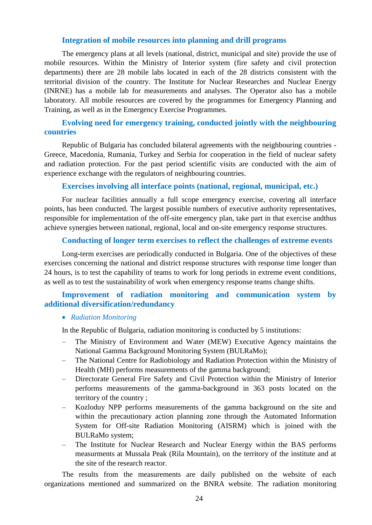## **Integration of mobile resources into planning and drill programs**

The emergency plans at all levels (national, district, municipal and site) provide the use of mobile resources. Within the Ministry of Interior system (fire safety and civil protection departments) there are 28 mobile labs located in each of the 28 districts consistent with the territorial division of the country. The Institute for Nuclear Researches and Nuclear Energy (INRNE) has a mobile lab for measurements and analyses. The Operator also has a mobile laboratory. All mobile resources are covered by the programmes for Emergency Planning and Training, as well as in the Emergency Exercise Programmes.

## **Evolving need for emergency training, conducted jointly with the neighbouring countries**

Republic of Bulgaria has concluded bilateral agreements with the neighbouring countries - Greece, Macedonia, Rumania, Turkey and Serbia for cooperation in the field of nuclear safety and radiation protection. For the past period scientific visits are conducted with the aim of experience exchange with the regulators of neighbouring countries.

## **Exercises involving all interface points (national, regional, municipal, etc.)**

For nuclear facilities annually a full scope emergency exercise, covering all interface points, has been conducted. The largest possible numbers of executive authority representatives, responsible for implementation of the off-site emergency plan, take part in that exercise andthus achieve synergies between national, regional, local and on-site emergency response structures.

## **Conducting of longer term exercises to reflect the challenges of extreme events**

Long-term exercises are periodically conducted in Bulgaria. One of the objectives of these exercises concerning the national and district response structures with response time longer than 24 hours, is to test the capability of teams to work for long periods in extreme event conditions, as well as to test the sustainability of work when emergency response teams change shifts.

## **Improvement of radiation monitoring and communication system by additional diversification/redundancy**

## *Radiation Monitoring*

In the Republic of Bulgaria, radiation monitoring is conducted by 5 institutions:

- The Ministry of Environment and Water (MEW) Executive Agency maintains the National Gamma Background Monitoring System (BULRaMo);
- The National Centre for Radiobiology and Radiation Protection within the Ministry of Health (MH) performs measurements of the gamma background;
- Directorate General Fire Safety and Civil Protection within the Ministry of Interior performs measurements of the gamma-background in 363 posts located on the territory of the country ;
- Kozloduy NPP performs measurements of the gamma background on the site and within the precautionary action planning zone through the Automated Information System for Off-site Radiation Monitoring (AISRM) which is joined with the BULRaMo system;
- The Institute for Nuclear Research and Nuclear Energy within the BAS performs measurments at Mussala Peak (Rila Mountain), on the territory of the institute and at the site of the research reactor.

The results from the measurements are daily published on the website of each organizations mentioned and summarized on the BNRA website. The radiation monitoring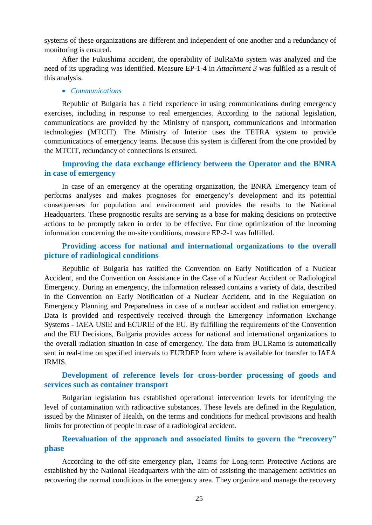systems of these organizations are different and independent of one another and a redundancy of monitoring is ensured.

After the Fukushima accident, the operability of BulRaMo system was analyzed and the need of its upgrading was identified. Measure EP-1-4 in *Attachment 3* was fulfiled as a result of this analysis.

#### *Communications*

Republic of Bulgaria has a field experience in using communications during emergency exercises, including in response to real emergencies. According to the national legislation, communications are provided by the Ministry of transport, communications and information technologies (MTCIT). The Ministry of Interior uses the TETRA system to provide communications of emergency teams. Because this system is different from the one provided by the MTCIT, redundancy of connections is ensured.

## **Improving the data exchange efficiency between the Operator and the BNRA in case of emergency**

In case of an emergency at the operating organization, the BNRA Emergency team of performs analyses and makes prognoses for emergency's development and its potential consequenses for population and environment and provides the results to the National Headquarters. These prognostic results are serving as a base for making desicions on protective actions to be promptly taken in order to be effective. For time optimization of the incoming information concerning the on-site conditions, measure EP-2-1 was fulfilled.

## **Providing access for national and international organizations to the overall picture of radiological conditions**

Republic of Bulgaria has ratified the Convention on Early Notification of a Nuclear Accident, and the Convention on Assistance in the Case of a Nuclear Accident or Radiological Emergency. During an emergency, the information released contains a variety of data, described in the Convention on Early Notification of a Nuclear Accident, and in the Regulation on Emergency Planning and Preparedness in case of a nuclear accident and radiation emergency. Data is provided and respectively received through the Emergency Information Exchange Systems - IAEA USIE and ECURIE of the ЕU. By fulfilling the requirements of the Convention and the EU Decisions, Bulgaria provides access for national and international organizations to the overall radiation situation in case of emergency. The data from BULRamo is automatically sent in real-time on specified intervals to EURDEP from where is available for transfer to IAEA IRMIS.

## **Development of reference levels for cross-border processing of goods and services such as container transport**

Bulgarian legislation has established operational intervention levels for identifying the level of contamination with radioactive substances. These levels are defined in the Regulation, issued by the Minister of Health, on the terms and conditions for medical provisions and health limits for protection of people in case of a radiological accident.

## **Reevaluation of the approach and associated limits to govern the "recovery" phase**

According to the off-site emergency plan, Teams for Long-term Protective Actions are established by the National Headquarters with the aim of assisting the management activities on recovering the normal conditions in the emergency area. They organize and manage the recovery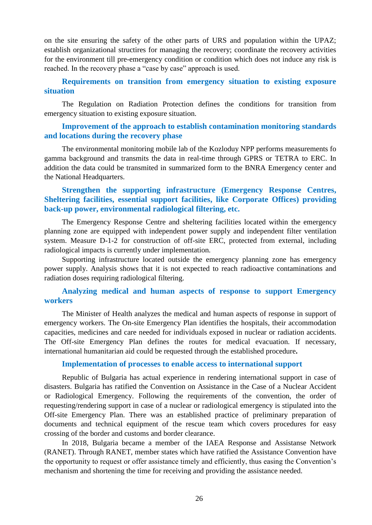on the site ensuring the safety of the other parts of URS and population within the UPAZ; establish organizational structires for managing the recovery; coordinate the recovery activities for the environment till pre-emergency condition or condition which does not induce any risk is reached. In the recovery phase a "case by case" approach is used.

## **Requirements on transition from emergency situation to existing exposure situation**

The Regulation on Radiation Protection defines the conditions for transition from emergency situation to existing exposure situation.

## **Improvement of the approach to establish contamination monitoring standards and locations during the recovery phase**

The environmental monitoring mobile lab of the Kozloduy NPP performs measurements fo gamma background and transmits the data in real-time through GPRS or TETRA to ERC. In addition the data could be transmited in summarized form to the BNRA Emergency center and the National Headquarters.

## **Strengthen the supporting infrastructure (Emergency Response Centres, Sheltering facilities, essential support facilities, like Corporate Offices) providing back-up power, environmental radiological filtering, etc.**

The Emergency Response Centre and sheltering facilities located within the emergency planning zone are equipped with independent power supply and independent filter ventilation system. Measure D-1-2 for construction of off-site ERC, protected from external, including radiological impacts is currently under implementation.

Supporting infrastructure located outside the emergency planning zone has emergency power supply. Analysis shows that it is not expected to reach radioactive contaminations and radiation doses requiring radiological filtering.

## **Analyzing medical and human aspects of response to support Emergency workers**

The Minister of Health analyzes the medical and human aspects of response in support of emergency workers. The On-site Emergency Plan identifies the hospitals, their accommodation capacities, medicines and care needed for individuals exposed in nuclear or radiation accidents. The Off-site Emergency Plan defines the routes for medical evacuation. If necessary, international humanitarian aid could be requested through the established procedure**.**

#### **Implementation of processes to enable access to international support**

Republic of Bulgaria has actual experience in rendering international support in case of disasters. Bulgaria has ratified the Convention on Assistance in the Case of a Nuclear Accident or Radiological Emergency. Following the requirements of the convention, the order of requesting/rendering support in case of a nuclear or radiological emergency is stipulated into the Off-site Emergency Plan. There was an established practice of preliminary preparation of documents and technical equipment of the rescue team which covers procedures for easy crossing of the border and customs and border clearance.

In 2018, Bulgaria became a member of the IAEA Response and Assistanse Network (RANET). Through RANET, member states which have ratified the Assistance Convention have the opportunity to request or offer assistance timely and efficiently, thus easing the Convention's mechanism and shortening the time for receiving and providing the assistance needed.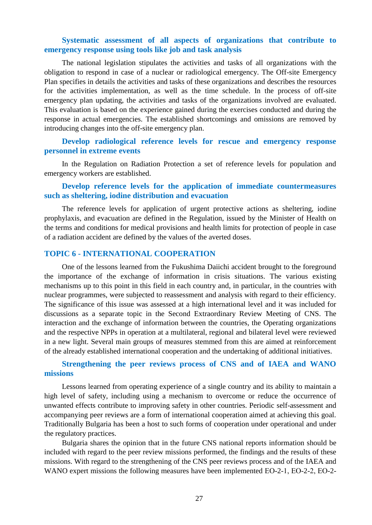## **Systematic assessment of all aspects of organizations that contribute to emergency response using tools like job and task analysis**

The national legislation stipulates the activities and tasks of all organizations with the obligation to respond in case of a nuclear or radiological emergency. The Off-site Emergency Plan specifies in details the activities and tasks of these organizations and describes the resources for the activities implementation, as well as the time schedule. In the process of off-site emergency plan updating, the activities and tasks of the organizations involved are evaluated. This evaluation is based on the experience gained during the exercises conducted and during the response in actual emergencies. The established shortcomings and omissions are removed by introducing changes into the off-site emergency plan.

## **Develop radiological reference levels for rescue and emergency response personnel in extreme events**

In the Regulation on Radiation Protection a set of reference levels for population and emergency workers are established.

## **Develop reference levels for the application of immediate countermeasures such as sheltering, iodine distribution and evacuation**

The reference levels for application of urgent protective actions as sheltering, iodine prophylaxis, and evacuation are defined in the Regulation, issued by the Minister of Health on the terms and conditions for medical provisions and health limits for protection of people in case of a radiation accident are defined by the values of the averted doses.

## <span id="page-26-0"></span>**TOPIC 6 - INTERNATIONAL COOPERATION**

One of the lessons learned from the Fukushima Daiichi accident brought to the foreground the importance of the exchange of information in crisis situations. The various existing mechanisms up to this point in this field in each country and, in particular, in the countries with nuclear programmes, were subjected to reassessment and analysis with regard to their efficiency. The significance of this issue was assessed at a high international level and it was included for discussions as a separate topic in the Second Extraordinary Review Meeting of CNS. The interaction and the exchange of information between the countries, the Operating organizations and the respective NPPs in operation at a multilateral, regional and bilateral level were reviewed in a new light. Several main groups of measures stemmed from this are aimed at reinforcement of the already established international cooperation and the undertaking of additional initiatives.

## **Strengthening the peer reviews process of CNS and of IAEA and WANO missions**

Lessons learned from operating experience of a single country and its ability to maintain a high level of safety, including using a mechanism to overcome or reduce the occurrence of unwanted effects contribute to improving safety in other countries. Periodic self-assessment and accompanying peer reviews are a form of international cooperation aimed at achieving this goal. Traditionally Bulgaria has been a host to such forms of cooperation under operational and under the regulatory practices.

Bulgaria shares the opinion that in the future CNS national reports information should be included with regard to the peer review missions performed, the findings and the results of these missions. With regard to the strengthening of the CNS peer reviews process and of the IAEA and WANO expert missions the following measures have been implemented EO-2-1, EO-2-2, EO-2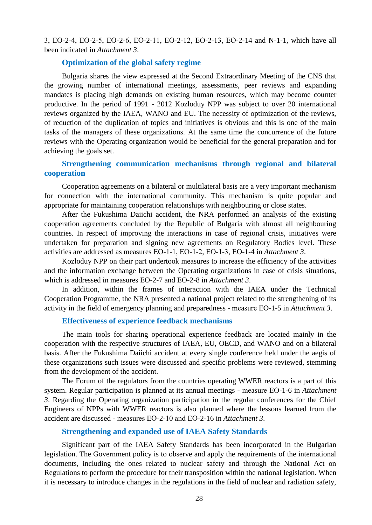3, ЕО-2-4, ЕО-2-5, ЕО-2-6, ЕО-2-11, ЕО-2-12, ЕО-2-13, ЕО-2-14 and N-1-1, which have all been indicated in *Attachment 3*.

## **Optimization of the global safety regime**

Bulgaria shares the view expressed at the Second Extraordinary Meeting of the CNS that the growing number of international meetings, assessments, peer reviews and expanding mandates is placing high demands on existing human resources, which may become counter productive. In the period of 1991 - 2012 Kozloduy NPP was subject to over 20 international reviews organized by the IAEA, WANO and EU. The necessity of optimization of the reviews, of reduction of the duplication of topics and initiatives is obvious and this is one of the main tasks of the managers of these organizations. At the same time the concurrence of the future reviews with the Operating organization would be beneficial for the general preparation and for achieving the goals set.

## **Strengthening communication mechanisms through regional and bilateral cooperation**

Cooperation agreements on a bilateral or multilateral basis are a very important mechanism for connection with the international community. This mechanism is quite popular and appropriate for maintaining cooperation relationships with neighbouring or close states.

After the Fukushima Daiichi accident, the NRA performed an analysis of the existing cooperation agreements concluded by the Republic of Bulgaria with almost all neighbouring countries. In respect of improving the interactions in case of regional crisis, initiatives were undertaken for preparation and signing new agreements on Regulatory Bodies level. These activities are addressed as measures ЕО-1-1, ЕО-1-2, ЕО-1-3, ЕО-1-4 in *Attachment 3*.

Kozloduy NPP on their part undertook measures to increase the efficiency of the activities and the information exchange between the Operating organizations in case of crisis situations, which is addressed in measures ЕО-2-7 and ЕО-2-8 in *Attachment 3*.

In addition, within the frames of interaction with the IAEA under the Technical Cooperation Programme, the NRA presented a national project related to the strengthening of its activity in the field of emergency planning and preparedness - measure ЕО-1-5 in *Attachment 3*.

## **Effectiveness of experience feedback mechanisms**

The main tools for sharing operational experience feedback are located mainly in the cooperation with the respective structures of IAEA, EU, OECD, and WANO and on a bilateral basis. After the Fukushima Daiichi accident at every single conference held under the aegis of these organizations such issues were discussed and specific problems were reviewed, stemming from the development of the accident.

The Forum of the regulators from the countries operating WWER reactors is a part of this system. Regular participation is planned at its annual meetings - measure ЕО-1-6 in *Attachment 3*. Regarding the Operating organization participation in the regular conferences for the Chief Engineers of NPPs with WWER reactors is also planned where the lessons learned from the accident are discussed - measures ЕО-2-10 and ЕО-2-16 in *Attachment 3*.

#### **Strengthening and expanded use of IAEA Safety Standards**

Significant part of the IAEA Safety Standards has been incorporated in the Bulgarian legislation. The Government policy is to observe and apply the requirements of the international documents, including the ones related to nuclear safety and through the National Act on Regulations to perform the procedure for their transposition within the national legislation. When it is necessary to introduce changes in the regulations in the field of nuclear and radiation safety,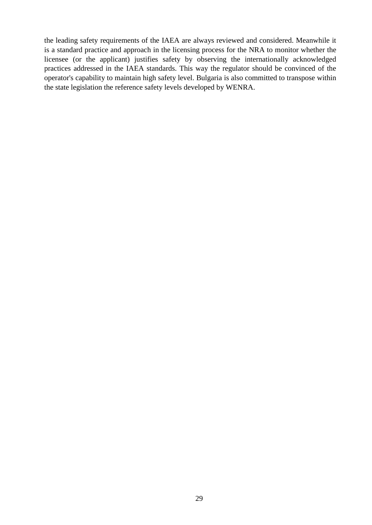the leading safety requirements of the IAEA are always reviewed and considered. Meanwhile it is a standard practice and approach in the licensing process for the NRA to monitor whether the licensee (or the applicant) justifies safety by observing the internationally acknowledged practices addressed in the IAEA standards. This way the regulator should be convinced of the operator's capability to maintain high safety level. Bulgaria is also committed to transpose within the state legislation the reference safety levels developed by WENRA.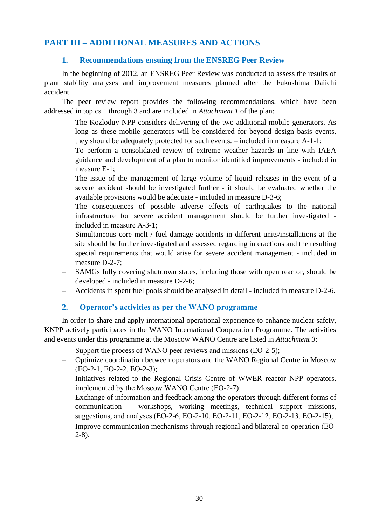## <span id="page-29-0"></span>**PART III – ADDITIONAL MEASURES AND ACTIONS**

## **1. Recommendations ensuing from the ENSREG Peer Review**

In the beginning of 2012, an ENSREG Peer Review was conducted to assess the results of plant stability analyses and improvement measures planned after the Fukushima Daiichi accident.

The peer review report provides the following recommendations, which have been addressed in topics 1 through 3 and are included in *Attachment 1* of the plan:

- The Kozloduy NPP considers delivering of the two additional mobile generators. As long as these mobile generators will be considered for beyond design basis events, they should be adequately protected for such events. – included in measure A-1-1;
- To perform a consolidated review of extreme weather hazards in line with IAEA guidance and development of a plan to monitor identified improvements - included in measure E-1;
- The issue of the management of large volume of liquid releases in the event of a severe accident should be investigated further - it should be evaluated whether the available provisions would be adequate - included in measure D-3-6;
- The consequences of possible adverse effects of earthquakes to the national infrastructure for severe accident management should be further investigated included in measure А-3-1;
- Simultaneous core melt / fuel damage accidents in different units/installations at the site should be further investigated and assessed regarding interactions and the resulting special requirements that would arise for severe accident management - included in measure D-2-7;
- SAMGs fully covering shutdown states, including those with open reactor, should be developed - included in measure D-2-6;
- Accidents in spent fuel pools should be analysed in detail included in measure D-2-6.

## **2. Operator's activities as per the WANO programme**

In order to share and apply international operational experience to enhance nuclear safety, KNPP actively participates in the WANO International Cooperation Programme. The activities and events under this programme at the Moscow WANO Centre are listed in *Attachment 3*:

- Support the process of WANO peer reviews and missions (EO-2-5);
- Optimize coordination between operators and the WANO Regional Centre in Moscow (ЕО-2-1, ЕО-2-2, ЕО-2-3);
- Initiatives related to the Regional Crisis Centre of WWER reactor NPP operators, implemented by the Moscow WANO Centre (ЕО-2-7);
- Exchange of information and feedback among the operators through different forms of communication – workshops, working meetings, technical support missions, suggestions, and analyses (EO-2-6, EO-2-10, EO-2-11, EO-2-12, EO-2-13, EO-2-15);
- Improve communication mechanisms through regional and bilateral co-operation (ЕО-2-8).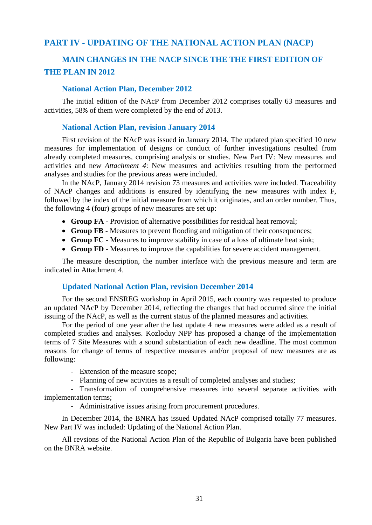## <span id="page-30-0"></span>**PART IV - UPDATING OF THE NATIONAL ACTION PLAN (NACP)**

# **MAIN CHANGES IN THE NACP SINCE THE THE FIRST EDITION OF THE PLAN IN 2012**

## **National Action Plan, December 2012**

The initial edition of the NAcP from December 2012 comprises totally 63 measures and activities, 58% of them were completed by the end of 2013.

## **National Action Plan, revision January 2014**

First revision of the NAcP was issued in January 2014. The updated plan specified 10 new measures for implementation of designs or conduct of further investigations resulted from already completed measures, comprising analysis or studies. New Part IV: New measures and activities and new *Attachment 4*: New measures and activities resulting from the performed analyses and studies for the previous areas were included.

In the NAcP, January 2014 revision 73 measures and activities were included. Traceability of NAcP changes and additions is ensured by identifying the new measures with index F, followed by the index of the initial measure from which it originates, and an order number. Thus, the following 4 (four) groups of new measures are set up:

- **Group FA** Provision of alternative possibilities for residual heat removal;
- **Group FB** Measures to prevent flooding and mitigation of their consequences;
- **Group FC** Measures to improve stability in case of a loss of ultimate heat sink;
- **Group FD** Measures to improve the capabilities for severe accident management.

The measure description, the number interface with the previous measure and term are indicated in Attachment 4.

## **Updated National Action Plan, revision December 2014**

For the second ENSREG workshop in April 2015, each country was requested to produce an updated NAcP by December 2014, reflecting the changes that had occurred since the initial issuing of the NAcP, as well as the current status of the planned measures and activities.

For the period of one year after the last update 4 new measures were added as a result of completed studies and analyses. Kozloduy NPP has proposed a change of the implementation terms of 7 Site Measures with a sound substantiation of each new deadline. The most common reasons for change of terms of respective measures and/or proposal of new measures are as following:

- Extension of the measure scope;
- Planning of new activities as a result of completed analyses and studies;

- Transformation of comprehensive measures into several separate activities with implementation terms;

- Administrative issues arising from procurement procedures.

In December 2014, the BNRA has issued Updated NAcP comprised totally 77 measures. New Part IV was included: Updating of the National Action Plan.

All revsions of the National Action Plan of the Republic of Bulgaria have been published on the BNRA website.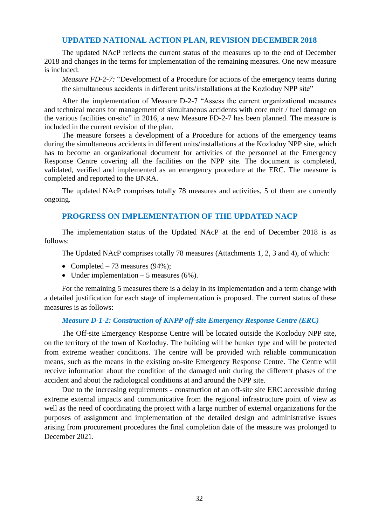## **UPDATED NATIONAL ACTION PLAN, REVISION DECEMBER 2018**

The updated NAcP reflects the current status of the measures up to the end of December 2018 and changes in the terms for implementation of the remaining measures. One new measure is included:

*Measure FD-2-7:* "Development of a Procedure for actions of the emergency teams during the simultaneous accidents in different units/installations at the Kozloduy NPP site"

After the implementation of Measure D-2-7 "Assess the current organizational measures and technical means for management of simultaneous accidents with core melt / fuel damage on the various facilities on-site" in 2016, a new Measure FD-2-7 has been planned. The measure is included in the current revision of the plan.

The measure forsees a development of a Procedure for actions of the emergency teams during the simultaneous accidents in different units/installations at the Kozloduy NPP site, which has to become an organizational document for activities of the personnel at the Emergency Response Centre covering all the facilities on the NPP site. The document is completed, validated, verified and implemented as an emergency procedure at the ERC. The measure is completed and reported to the BNRA.

The updated NAcP comprises totally 78 measures and activities, 5 of them are currently ongoing.

## **PROGRESS ON IMPLEMENTATION OF THE UPDATED NACP**

The implementation status of the Updated NAcP at the end of December 2018 is as follows:

The Updated NAcP comprises totally 78 measures (Attachments 1, 2, 3 and 4), of which:

- Completed 73 measures (94%);
- Under implementation  $-5$  measures (6%).

For the remaining 5 measures there is a delay in its implementation and a term change with a detailed justification for each stage of implementation is proposed. The current status of these measures is as follows:

## *Measure D-1-2: Construction of KNPP off-site Emergency Response Centre (ERC)*

The Off-site Emergency Response Centre will be located outside the Kozloduy NPP site, on the territory of the town of Kozloduy. The building will be bunker type and will be protected from extreme weather conditions. The centre will be provided with reliable communication means, such as the means in the existing on-site Emergency Response Centre. The Centre will receive information about the condition of the damaged unit during the different phases of the accident and about the radiological conditions at and around the NPP site.

Due to the increasing requirements - construction of an off-site site ERC accessible during extreme external impacts and communicative from the regional infrastructure point of view as well as the need of coordinating the project with a large number of external organizations for the purposes of assignment and implementation of the detailed design and administrative issues arising from procurement procedures the final completion date of the measure was prolonged to December 2021.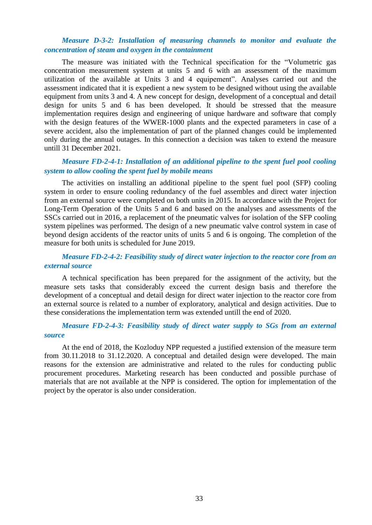## *Measure D-3-2: Installation of measuring channels to monitor and evaluate the concentration of steam and oxygen in the containment*

The measure was initiated with the Technical specification for the "Volumetric gas concentration measurement system at units 5 and 6 with an assessment of the maximum utilization of the available at Units 3 and 4 equipement". Analyses carried out and the assessment indicated that it is expedient a new system to be designed without using the available equipment from units 3 and 4. A new concept for design, development of a conceptual and detail design for units 5 and 6 has been developed. It should be stressed that the measure implementation requires design and engineering of unique hardware and software that comply with the design features of the WWER-1000 plants and the expected parameters in case of a severe accident, also the implementation of part of the planned changes could be implemented only during the annual outages. In this connection a decision was taken to extend the measure untill 31 December 2021.

## *Measure FD-2-4-1: Installation of an additional pipeline to the spent fuel pool cooling system to allow cooling the spent fuel by mobile means*

The activities on installing an additional pipeline to the spent fuel pool (SFP) cooling system in order to ensure cooling redundancy of the fuel assembles and direct water injection from an external source were completed on both units in 2015. In accordance with the Project for Long-Term Operation of the Units 5 and 6 and based on the analyses and assessments of the SSCs carried out in 2016, a replacement of the pneumatic valves for isolation of the SFP cooling system pipelines was performed. The design of a new pneumatic valve control system in case of beyond design accidents of the reactor units of units 5 and 6 is ongoing. The completion of the measure for both units is scheduled for June 2019.

## *Measure FD-2-4-2: Feasibility study of direct water injection to the reactor core from an external source*

A technical specification has been prepared for the assignment of the activity, but the measure sets tasks that considerably exceed the current design basis and therefore the development of a conceptual and detail design for direct water injection to the reactor core from an external source is related to a number of exploratory, analytical and design activities. Due to these considerations the implementation term was extended untill the end of 2020.

## *Measure FD-2-4-3: Feasibility study of direct water supply to SGs from an external source*

At the end of 2018, the Kozloduy NPP requested a justified extension of the measure term from 30.11.2018 to 31.12.2020. A conceptual and detailed design were developed. The main reasons for the extension are administrative and related to the rules for conducting public procurement procedures. Marketing research has been conducted and possible purchase of materials that are not available at the NPP is considered. The option for implementation of the project by the operator is also under consideration.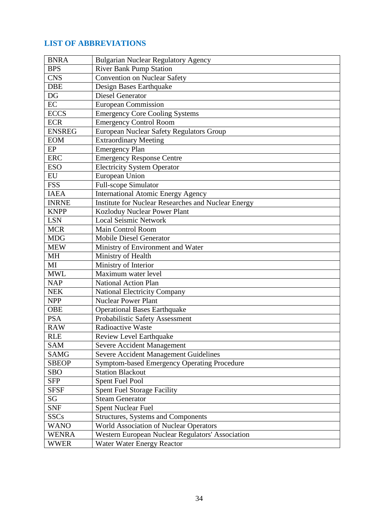## **LIST OF ABBREVIATIONS**

| <b>BNRA</b>   | <b>Bulgarian Nuclear Regulatory Agency</b>                 |
|---------------|------------------------------------------------------------|
| <b>BPS</b>    | <b>River Bank Pump Station</b>                             |
| <b>CNS</b>    | <b>Convention on Nuclear Safety</b>                        |
| <b>DBE</b>    | Design Bases Earthquake                                    |
| DG            | Diesel Generator                                           |
| EC            | <b>European Commission</b>                                 |
| <b>ECCS</b>   | <b>Emergency Core Cooling Systems</b>                      |
| <b>ECR</b>    | <b>Emergency Control Room</b>                              |
| <b>ENSREG</b> | European Nuclear Safety Regulators Group                   |
| <b>EOM</b>    | <b>Extraordinary Meeting</b>                               |
| EP            | <b>Emergency Plan</b>                                      |
| <b>ERC</b>    | <b>Emergency Response Centre</b>                           |
| <b>ESO</b>    | <b>Electricity System Operator</b>                         |
| EU            | European Union                                             |
| <b>FSS</b>    | <b>Full-scope Simulator</b>                                |
| <b>IAEA</b>   | <b>International Atomic Energy Agency</b>                  |
| <b>INRNE</b>  | <b>Institute for Nuclear Researches and Nuclear Energy</b> |
| <b>KNPP</b>   | Kozloduy Nuclear Power Plant                               |
| <b>LSN</b>    | <b>Local Seismic Network</b>                               |
| <b>MCR</b>    | <b>Main Control Room</b>                                   |
| <b>MDG</b>    | <b>Mobile Diesel Generator</b>                             |
| <b>MEW</b>    | Ministry of Environment and Water                          |
| <b>MH</b>     | Ministry of Health                                         |
| MI            | Ministry of Interior                                       |
| <b>MWL</b>    | Maximum water level                                        |
| <b>NAP</b>    | <b>National Action Plan</b>                                |
| <b>NEK</b>    | <b>National Electricity Company</b>                        |
| <b>NPP</b>    | <b>Nuclear Power Plant</b>                                 |
| <b>OBE</b>    | <b>Operational Bases Earthquake</b>                        |
| <b>PSA</b>    | Probabilistic Safety Assessment                            |
| <b>RAW</b>    | <b>Radioactive Waste</b>                                   |
| <b>RLE</b>    | Review Level Earthquake                                    |
| <b>SAM</b>    | <b>Severe Accident Management</b>                          |
| <b>SAMG</b>   | Severe Accident Management Guidelines                      |
| <b>SBEOP</b>  | Symptom-based Emergency Operating Procedure                |
| <b>SBO</b>    | <b>Station Blackout</b>                                    |
| <b>SFP</b>    | <b>Spent Fuel Pool</b>                                     |
| <b>SFSF</b>   | <b>Spent Fuel Storage Facility</b>                         |
| SG            | <b>Steam Generator</b>                                     |
| <b>SNF</b>    | <b>Spent Nuclear Fuel</b>                                  |
| <b>SSCs</b>   | <b>Structures, Systems and Components</b>                  |
| <b>WANO</b>   | World Association of Nuclear Operators                     |
| <b>WENRA</b>  | Western European Nuclear Regulators' Association           |
| <b>WWER</b>   | Water Water Energy Reactor                                 |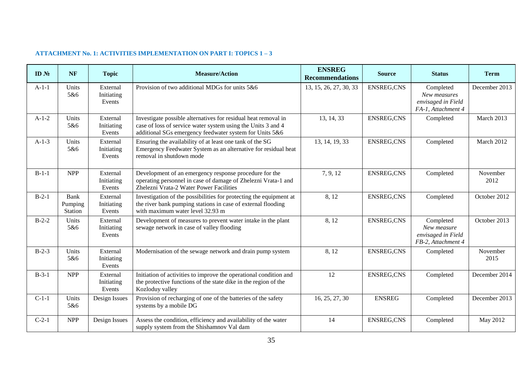## **ATTACHMENT No. 1: ACTIVITIES IMPLEMENTATION ON PART I: TOPICS 1 – 3**

<span id="page-34-0"></span>

| ID <sub>N</sub> | <b>NF</b>                         | <b>Topic</b>                     | <b>Measure/Action</b>                                                                                                                                                                     | <b>ENSREG</b><br><b>Recommendations</b> | <b>Source</b>     | <b>Status</b>                                                         | <b>Term</b>      |
|-----------------|-----------------------------------|----------------------------------|-------------------------------------------------------------------------------------------------------------------------------------------------------------------------------------------|-----------------------------------------|-------------------|-----------------------------------------------------------------------|------------------|
| $A-1-1$         | Units<br>5&6                      | External<br>Initiating<br>Events | Provision of two additional MDGs for units 5&6                                                                                                                                            | 13, 15, 26, 27, 30, 33                  | <b>ENSREG,CNS</b> | Completed<br>New measures<br>envisaged in Field<br>FA-1, Attachment 4 | December 2013    |
| $A-1-2$         | Units<br>5&6                      | External<br>Initiating<br>Events | Investigate possible alternatives for residual heat removal in<br>case of loss of service water system using the Units 3 and 4<br>additional SGs emergency feedwater system for Units 5&6 | 13, 14, 33                              | <b>ENSREG,CNS</b> | Completed                                                             | March 2013       |
| $A-1-3$         | Units<br>5&6                      | External<br>Initiating<br>Events | Ensuring the availability of at least one tank of the SG<br>Emergency Feedwater System as an alternative for residual heat<br>removal in shutdown mode                                    | 13, 14, 19, 33                          | <b>ENSREG,CNS</b> | Completed                                                             | March 2012       |
| $B-1-1$         | <b>NPP</b>                        | External<br>Initiating<br>Events | Development of an emergency response procedure for the<br>operating personnel in case of damage of Zhelezni Vrata-1 and<br>Zhelezni Vrata-2 Water Power Facilities                        | 7, 9, 12                                | <b>ENSREG,CNS</b> | Completed                                                             | November<br>2012 |
| $B-2-1$         | <b>Bank</b><br>Pumping<br>Station | External<br>Initiating<br>Events | Investigation of the possibilities for protecting the equipment at<br>the river bank pumping stations in case of external flooding<br>with maximum water level 32.93 m                    | 8, 12                                   | <b>ENSREG,CNS</b> | Completed                                                             | October 2012     |
| $B-2-2$         | Units<br>5&6                      | External<br>Initiating<br>Events | Development of measures to prevent water intake in the plant<br>sewage network in case of valley flooding                                                                                 | 8, 12                                   | <b>ENSREG,CNS</b> | Completed<br>New measure<br>envisaged in Field<br>FB-2, Attachment 4  | October 2013     |
| $B-2-3$         | Units<br>5&6                      | External<br>Initiating<br>Events | Modernisation of the sewage network and drain pump system                                                                                                                                 | 8, 12                                   | <b>ENSREG,CNS</b> | Completed                                                             | November<br>2015 |
| $B-3-1$         | <b>NPP</b>                        | External<br>Initiating<br>Events | Initiation of activities to improve the operational condition and<br>the protective functions of the state dike in the region of the<br>Kozloduy valley                                   | 12                                      | <b>ENSREG,CNS</b> | Completed                                                             | December 2014    |
| $C-1-1$         | Units<br>5&6                      | Design Issues                    | Provision of recharging of one of the batteries of the safety<br>systems by a mobile DG                                                                                                   | 16, 25, 27, 30                          | <b>ENSREG</b>     | Completed                                                             | December 2013    |
| $C-2-1$         | <b>NPP</b>                        | Design Issues                    | Assess the condition, efficiency and availability of the water<br>supply system from the Shishamnov Val dam                                                                               | 14                                      | <b>ENSREG,CNS</b> | Completed                                                             | May 2012         |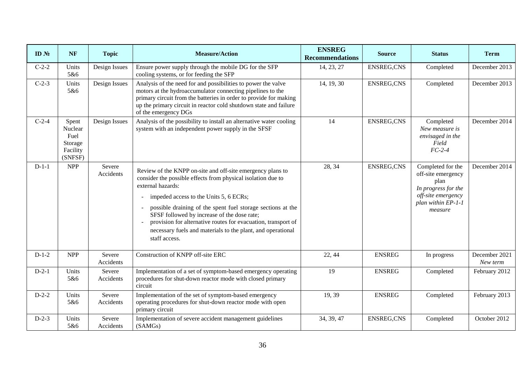| ID <sub>N</sub> | <b>NF</b>                                                  | <b>Topic</b>        | <b>Measure/Action</b>                                                                                                                                                                                                                                                                                                                                                                                                                                    | <b>ENSREG</b><br><b>Recommendations</b> | <b>Source</b>     | <b>Status</b>                                                                                                                 | <b>Term</b>               |
|-----------------|------------------------------------------------------------|---------------------|----------------------------------------------------------------------------------------------------------------------------------------------------------------------------------------------------------------------------------------------------------------------------------------------------------------------------------------------------------------------------------------------------------------------------------------------------------|-----------------------------------------|-------------------|-------------------------------------------------------------------------------------------------------------------------------|---------------------------|
| $C-2-2$         | Units<br>5&6                                               | Design Issues       | Ensure power supply through the mobile DG for the SFP<br>cooling systems, or for feeding the SFP                                                                                                                                                                                                                                                                                                                                                         | 14, 23, 27                              | <b>ENSREG,CNS</b> | Completed                                                                                                                     | December 2013             |
| $C-2-3$         | Units<br>5&6                                               | Design Issues       | Analysis of the need for and possibilities to power the valve<br>motors at the hydroaccumulator connecting pipelines to the<br>primary circuit from the batteries in order to provide for making<br>up the primary circuit in reactor cold shutdown state and failure<br>of the emergency DGs                                                                                                                                                            | 14, 19, 30                              | <b>ENSREG,CNS</b> | Completed                                                                                                                     | December 2013             |
| $C-2-4$         | Spent<br>Nuclear<br>Fuel<br>Storage<br>Facility<br>(SNFSF) | Design Issues       | Analysis of the possibility to install an alternative water cooling<br>system with an independent power supply in the SFSF                                                                                                                                                                                                                                                                                                                               | 14                                      | ENSREG, CNS       | Completed<br>New measure is<br>envisaged in the<br>Field<br>$FC-2-4$                                                          | December 2014             |
| $D-1-1$         | NPP                                                        | Severe<br>Accidents | Review of the KNPP on-site and off-site emergency plans to<br>consider the possible effects from physical isolation due to<br>external hazards:<br>impeded access to the Units 5, 6 ECRs;<br>possible draining of the spent fuel storage sections at the<br>SFSF followed by increase of the dose rate;<br>provision for alternative routes for evacuation, transport of<br>necessary fuels and materials to the plant, and operational<br>staff access. | 28, 34                                  | ENSREG, CNS       | Completed for the<br>off-site emergency<br>plan<br>In progress for the<br>off-site emergency<br>plan within EP-1-1<br>measure | December 2014             |
| $D-1-2$         | <b>NPP</b>                                                 | Severe<br>Accidents | Construction of KNPP off-site ERC                                                                                                                                                                                                                                                                                                                                                                                                                        | 22, 44                                  | <b>ENSREG</b>     | In progress                                                                                                                   | December 2021<br>New term |
| $D-2-1$         | Units<br>5&6                                               | Severe<br>Accidents | Implementation of a set of symptom-based emergency operating<br>procedures for shut-down reactor mode with closed primary<br>circuit                                                                                                                                                                                                                                                                                                                     | 19                                      | <b>ENSREG</b>     | Completed                                                                                                                     | February 2012             |
| $D-2-2$         | Units<br>5&6                                               | Severe<br>Accidents | Implementation of the set of symptom-based emergency<br>operating procedures for shut-down reactor mode with open<br>primary circuit                                                                                                                                                                                                                                                                                                                     | 19, 39                                  | <b>ENSREG</b>     | Completed                                                                                                                     | February 2013             |
| $D-2-3$         | Units<br>5&6                                               | Severe<br>Accidents | Implementation of severe accident management guidelines<br>(SAMGs)                                                                                                                                                                                                                                                                                                                                                                                       | 34, 39, 47                              | ENSREG, CNS       | Completed                                                                                                                     | October 2012              |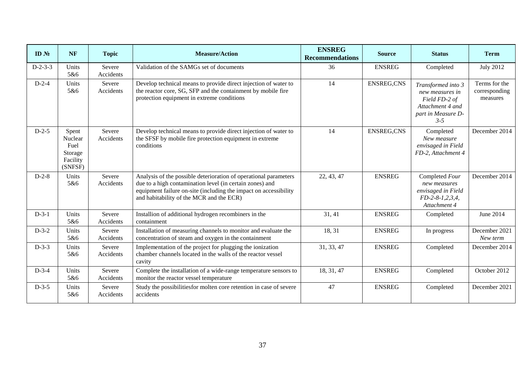| ID <sub>N</sub> | <b>NF</b>                                                  | <b>Topic</b>        | <b>Measure/Action</b>                                                                                                                                                                                                                        | <b>ENSREG</b><br><b>Recommendations</b> | <b>Source</b>     | <b>Status</b>                                                                                               | <b>Term</b>                                |
|-----------------|------------------------------------------------------------|---------------------|----------------------------------------------------------------------------------------------------------------------------------------------------------------------------------------------------------------------------------------------|-----------------------------------------|-------------------|-------------------------------------------------------------------------------------------------------------|--------------------------------------------|
| $D-2-3-3$       | Units<br>5&6                                               | Severe<br>Accidents | Validation of the SAMGs set of documents                                                                                                                                                                                                     | 36                                      | <b>ENSREG</b>     | Completed                                                                                                   | <b>July 2012</b>                           |
| $D-2-4$         | Units<br>5&6                                               | Severe<br>Accidents | Develop technical means to provide direct injection of water to<br>the reactor core, SG, SFP and the containment by mobile fire<br>protection equipment in extreme conditions                                                                | 14                                      | <b>ENSREG,CNS</b> | Transformed into 3<br>new measures in<br>Field FD-2 of<br>Attachment 4 and<br>part in Measure D-<br>$3 - 5$ | Terms for the<br>corresponding<br>measures |
| $D-2-5$         | Spent<br>Nuclear<br>Fuel<br>Storage<br>Facility<br>(SNFSF) | Severe<br>Accidents | Develop technical means to provide direct injection of water to<br>the SFSF by mobile fire protection equipment in extreme<br>conditions                                                                                                     | 14                                      | <b>ENSREG,CNS</b> | Completed<br>New measure<br>envisaged in Field<br>FD-2, Attachment 4                                        | December 2014                              |
| $D-2-8$         | Units<br>5&6                                               | Severe<br>Accidents | Analysis of the possible deterioration of operational parameters<br>due to a high contamination level (in certain zones) and<br>equipment failure on-site (including the impact on accessibility<br>and habitability of the MCR and the ECR) | 22, 43, 47                              | <b>ENSREG</b>     | Completed Four<br>new measures<br>envisaged in Field<br>$FD-2-8-1, 2, 3, 4,$<br>Attachment 4                | December 2014                              |
| $D-3-1$         | Units<br>5&6                                               | Severe<br>Accidents | Installion of additional hydrogen recombiners in the<br>containment                                                                                                                                                                          | 31, 41                                  | <b>ENSREG</b>     | Completed                                                                                                   | June 2014                                  |
| $D-3-2$         | Units<br>5&6                                               | Severe<br>Accidents | Installation of measuring channels to monitor and evaluate the<br>concentration of steam and oxygen in the containment                                                                                                                       | 18, 31                                  | <b>ENSREG</b>     | In progress                                                                                                 | December 2021<br>New term                  |
| $D-3-3$         | Units<br>5&6                                               | Severe<br>Accidents | Implementation of the project for plugging the ionization<br>chamber channels located in the walls of the reactor vessel<br>cavity                                                                                                           | 31, 33, 47                              | <b>ENSREG</b>     | Completed                                                                                                   | December 2014                              |
| $D-3-4$         | Units<br>5&6                                               | Severe<br>Accidents | Complete the installation of a wide-range temperature sensors to<br>monitor the reactor vessel temperature                                                                                                                                   | 18, 31, 47                              | <b>ENSREG</b>     | Completed                                                                                                   | October 2012                               |
| $D-3-5$         | Units<br>5&6                                               | Severe<br>Accidents | Study the possibilities for molten core retention in case of severe<br>accidents                                                                                                                                                             | 47                                      | <b>ENSREG</b>     | Completed                                                                                                   | December 2021                              |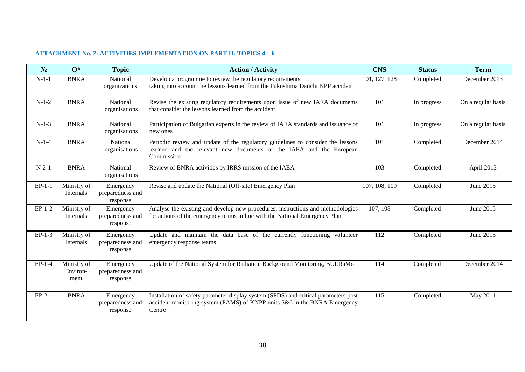#### **ATTACHMENT No. 2: ACTIVITIES IMPLEMENTATION ON PART II: TOPICS 4 – 6**

<span id="page-37-0"></span>

| N <sub>2</sub> | $\mathbf{O}^*$                  | <b>Topic</b>                              | <b>Action / Activity</b>                                                                                                                                                   | <b>CNS</b>    | <b>Status</b> | <b>Term</b>        |
|----------------|---------------------------------|-------------------------------------------|----------------------------------------------------------------------------------------------------------------------------------------------------------------------------|---------------|---------------|--------------------|
| $N-1-1$        | <b>BNRA</b>                     | National<br>organizations                 | Develop a programme to review the regulatory requirements<br>taking into account the lessons learned from the Fukushima Daiichi NPP accident                               | 101, 127, 128 | Completed     | December 2013      |
| $N-1-2$        | <b>BNRA</b>                     | National<br>organisations                 | Revise the existing regulatory requirements upon issue of new IAEA documents<br>that consider the lessons learned from the accident                                        | 101           | In progress   | On a regular basis |
| $N-1-3$        | <b>BNRA</b>                     | National<br>organisations                 | Participation of Bulgarian experts in the review of IAEA standards and issuance of<br>new ones                                                                             | 101           | In progress   | On a regular basis |
| $N-1-4$        | <b>BNRA</b>                     | Nationa<br>organisations                  | Periodic review and update of the regulatory guidelines to consider the lessons<br>learned and the relevant new documents of the IAEA and the European<br>Commission       | 101           | Completed     | December 2014      |
| $N-2-1$        | <b>BNRA</b>                     | National<br>organisations                 | Review of BNRA activities by IRRS mission of the IAEA                                                                                                                      | 103           | Completed     | April 2013         |
| $EP-1-1$       | Ministry of<br>Internals        | Emergency<br>preparedness and<br>response | Revise and update the National (Off-site) Emergency Plan                                                                                                                   | 107, 108, 109 | Completed     | June 2015          |
| $EP-1-2$       | Ministry of<br>Internals        | Emergency<br>preparedness and<br>response | Analyse the existing and develop new procedures, instructions and methodologies<br>for actions of the emergency teams in line with the National Emergency Plan             | 107, 108      | Completed     | June 2015          |
| $EP-1-3$       | Ministry of<br>Internals        | Emergency<br>preparedness and<br>response | Update and maintain the data base of the currently functioning volunteer<br>emergency response teams                                                                       | 112           | Completed     | June 2015          |
| $EP-1-4$       | Ministry of<br>Environ-<br>ment | Emergency<br>preparedness and<br>response | Update of the National System for Radiation Background Monitoring, BULRaMo                                                                                                 | 114           | Completed     | December 2014      |
| $EP-2-1$       | <b>BNRA</b>                     | Emergency<br>preparedness and<br>response | Installation of safety parameter display system (SPDS) and critical parameters post<br>accident monitoring system (PAMS) of KNPP units 5&6 in the BNRA Emergency<br>Centre | 115           | Completed     | May 2011           |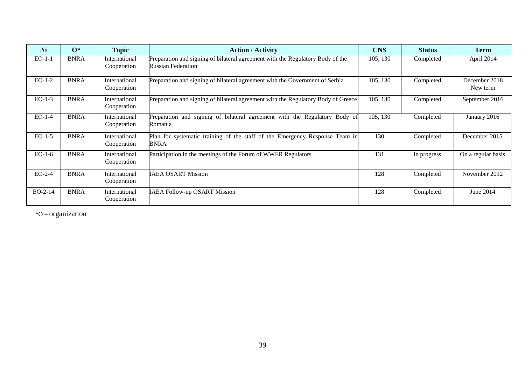| $N_2$     | $0^*$       | <b>Topic</b>                 | <b>Action / Activity</b>                                                                                    | <b>CNS</b> | <b>Status</b> | <b>Term</b>               |
|-----------|-------------|------------------------------|-------------------------------------------------------------------------------------------------------------|------------|---------------|---------------------------|
| $EO-1-1$  | <b>BNRA</b> | International<br>Cooperation | Preparation and signing of bilateral agreement with the Regulatory Body of the<br><b>Russian Federation</b> | 105, 130   | Completed     | April 2014                |
| $EO-1-2$  | <b>BNRA</b> | International<br>Cooperation | Preparation and signing of bilateral agreement with the Government of Serbia                                | 105, 130   | Completed     | December 2018<br>New term |
| $EO-1-3$  | <b>BNRA</b> | International<br>Cooperation | Preparation and signing of bilateral agreement with the Regulatory Body of Greece                           | 105, 130   | Completed     | September 2016            |
| $EO-1-4$  | <b>BNRA</b> | International<br>Cooperation | Preparation and signing of bilateral agreement with the Regulatory Body of<br>Romania                       | 105, 130   | Completed     | January 2016              |
| $EO-1-5$  | <b>BNRA</b> | International<br>Cooperation | Plan for systematic training of the staff of the Emergency Response Team in<br>BNRA                         | 130        | Completed     | December 2015             |
| $EO-1-6$  | <b>BNRA</b> | International<br>Cooperation | Participation in the meetings of the Forum of WWER Regulators                                               | 131        | In progress   | On a regular basis        |
| $EO-2-4$  | <b>BNRA</b> | International<br>Cooperation | <b>IAEA OSART Mission</b>                                                                                   | 128        | Completed     | November 2012             |
| $EO-2-14$ | <b>BNRA</b> | International<br>Cooperation | <b>IAEA Follow-up OSART Mission</b>                                                                         | 128        | Completed     | June 2014                 |

\*O – organization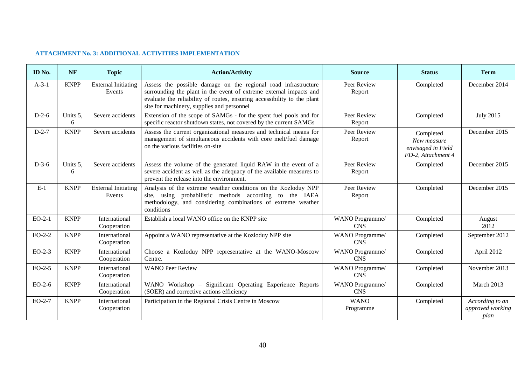#### **ATTACHMENT No. 3: ADDITIONAL ACTIVITIES IMPLEMENTATION**

<span id="page-39-0"></span>

| <b>ID</b> No. | <b>NF</b>     | <b>Topic</b>                         | <b>Action/Activity</b>                                                                                                                                                                                                                                        | <b>Source</b>                 | <b>Status</b>                                                        | <b>Term</b>                                 |
|---------------|---------------|--------------------------------------|---------------------------------------------------------------------------------------------------------------------------------------------------------------------------------------------------------------------------------------------------------------|-------------------------------|----------------------------------------------------------------------|---------------------------------------------|
| $A-3-1$       | <b>KNPP</b>   | <b>External Initiating</b><br>Events | Assess the possible damage on the regional road infrastructure<br>surrounding the plant in the event of extreme external impacts and<br>evaluate the reliability of routes, ensuring accessibility to the plant<br>site for machinery, supplies and personnel | Peer Review<br>Report         | Completed                                                            | December 2014                               |
| $D-2-6$       | Units 5,<br>6 | Severe accidents                     | Extension of the scope of SAMGs - for the spent fuel pools and for<br>specific reactor shutdown states, not covered by the current SAMGs                                                                                                                      | Peer Review<br>Report         | Completed                                                            | <b>July 2015</b>                            |
| $D-2-7$       | <b>KNPP</b>   | Severe accidents                     | Assess the current organizational measures and technical means for<br>management of simultaneous accidents with core melt/fuel damage<br>on the various facilities on-site                                                                                    | Peer Review<br>Report         | Completed<br>New measure<br>envisaged in Field<br>FD-2, Attachment 4 | December 2015                               |
| $D-3-6$       | Units 5,<br>6 | Severe accidents                     | Assess the volume of the generated liquid RAW in the event of a<br>severe accident as well as the adequacy of the available measures to<br>prevent the release into the environment.                                                                          | Peer Review<br>Report         | Completed                                                            | December 2015                               |
| $E-1$         | <b>KNPP</b>   | <b>External Initiating</b><br>Events | Analysis of the extreme weather conditions on the Kozloduy NPP<br>site, using probabilistic methods according to the IAEA<br>methodology, and considering combinations of extreme weather<br>conditions                                                       | Peer Review<br>Report         | Completed                                                            | December 2015                               |
| $EO-2-1$      | <b>KNPP</b>   | International<br>Cooperation         | Establish a local WANO office on the KNPP site                                                                                                                                                                                                                | WANO Programme/<br><b>CNS</b> | Completed                                                            | August<br>2012                              |
| $EO-2-2$      | <b>KNPP</b>   | International<br>Cooperation         | Appoint a WANO representative at the Kozloduy NPP site                                                                                                                                                                                                        | WANO Programme/<br><b>CNS</b> | Completed                                                            | September 2012                              |
| $EO-2-3$      | <b>KNPP</b>   | International<br>Cooperation         | Choose a Kozloduy NPP representative at the WANO-Moscow<br>Centre.                                                                                                                                                                                            | WANO Programme/<br><b>CNS</b> | Completed                                                            | April 2012                                  |
| $EO-2-5$      | <b>KNPP</b>   | International<br>Cooperation         | <b>WANO Peer Review</b>                                                                                                                                                                                                                                       | WANO Programme/<br><b>CNS</b> | Completed                                                            | November 2013                               |
| $EO-2-6$      | <b>KNPP</b>   | International<br>Cooperation         | WANO Workshop - Significant Operating Experience Reports<br>(SOER) and corrective actions efficiency                                                                                                                                                          | WANO Programme/<br><b>CNS</b> | Completed                                                            | March 2013                                  |
| $EO-2-7$      | <b>KNPP</b>   | International<br>Cooperation         | Participation in the Regional Crisis Centre in Moscow                                                                                                                                                                                                         | <b>WANO</b><br>Programme      | Completed                                                            | According to an<br>approved working<br>plan |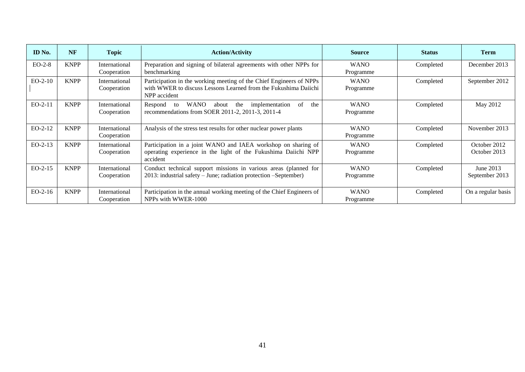| ID No.    | <b>NF</b>   | <b>Topic</b>                 | <b>Action/Activity</b>                                                                                                                                 | <b>Source</b>            | <b>Status</b> | <b>Term</b>                  |
|-----------|-------------|------------------------------|--------------------------------------------------------------------------------------------------------------------------------------------------------|--------------------------|---------------|------------------------------|
| $EO-2-8$  | <b>KNPP</b> | International<br>Cooperation | Preparation and signing of bilateral agreements with other NPPs for<br>benchmarking                                                                    | <b>WANO</b><br>Programme | Completed     | December 2013                |
| $EO-2-10$ | <b>KNPP</b> | International<br>Cooperation | Participation in the working meeting of the Chief Engineers of NPPs<br>with WWER to discuss Lessons Learned from the Fukushima Daiichi<br>NPP accident | <b>WANO</b><br>Programme | Completed     | September 2012               |
| $EO-2-11$ | <b>KNPP</b> | International<br>Cooperation | <b>WANO</b><br>the<br>of<br>about<br>implementation<br>the<br>Respond<br>to<br>recommendations from SOER 2011-2, 2011-3, 2011-4                        | <b>WANO</b><br>Programme | Completed     | May 2012                     |
| $EO-2-12$ | <b>KNPP</b> | International<br>Cooperation | Analysis of the stress test results for other nuclear power plants                                                                                     | <b>WANO</b><br>Programme | Completed     | November 2013                |
| $EO-2-13$ | <b>KNPP</b> | International<br>Cooperation | Participation in a joint WANO and IAEA workshop on sharing of<br>operating experience in the light of the Fukushima Daiichi NPP<br>accident            | <b>WANO</b><br>Programme | Completed     | October 2012<br>October 2013 |
| $EO-2-15$ | <b>KNPP</b> | International<br>Cooperation | Conduct technical support missions in various areas (planned for<br>2013: industrial safety - June; radiation protection - September)                  | <b>WANO</b><br>Programme | Completed     | June 2013<br>September 2013  |
| $EO-2-16$ | <b>KNPP</b> | International<br>Cooperation | Participation in the annual working meeting of the Chief Engineers of<br>NPPs with WWER-1000                                                           | <b>WANO</b><br>Programme | Completed     | On a regular basis           |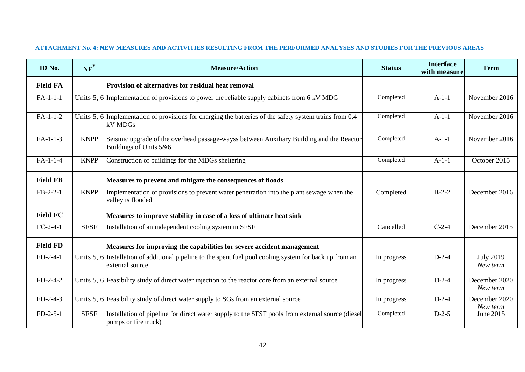## **ATTACHMENT No. 4: NEW MEASURES AND ACTIVITIES RESULTING FROM THE PERFORMED ANALYSES AND STUDIES FOR THE PREVIOUS AREAS**

<span id="page-41-0"></span>

| ID No.          | $NF^*$      | <b>Measure/Action</b>                                                                                                       | <b>Status</b> | <b>Interface</b><br>with measure | <b>Term</b>                  |
|-----------------|-------------|-----------------------------------------------------------------------------------------------------------------------------|---------------|----------------------------------|------------------------------|
| <b>Field FA</b> |             | Provision of alternatives for residual heat removal                                                                         |               |                                  |                              |
| $FA-1-1-1$      |             | Units 5, 6 Implementation of provisions to power the reliable supply cabinets from 6 kV MDG                                 | Completed     | $A-1-1$                          | November 2016                |
| $FA-1-1-2$      |             | Units 5, 6 Implementation of provisions for charging the batteries of the safety system trains from 0,4<br>kV MDGs          | Completed     | $A-1-1$                          | November 2016                |
| $FA-1-1-3$      | <b>KNPP</b> | Seismic upgrade of the overhead passage-wayss between Auxiliary Building and the Reactor<br>Buildings of Units 5&6          | Completed     | $A-1-1$                          | November 2016                |
| $FA-1-1-4$      | <b>KNPP</b> | Construction of buildings for the MDGs sheltering                                                                           | Completed     | $A-1-1$                          | October 2015                 |
| <b>Field FB</b> |             | Measures to prevent and mitigate the consequences of floods                                                                 |               |                                  |                              |
| $FB-2-2-1$      | <b>KNPP</b> | Implementation of provisions to prevent water penetration into the plant sewage when the<br>valley is flooded               | Completed     | $B-2-2$                          | December 2016                |
| <b>Field FC</b> |             | Measures to improve stability in case of a loss of ultimate heat sink                                                       |               |                                  |                              |
| $FC-2-4-1$      | <b>SFSF</b> | Installation of an independent cooling system in SFSF                                                                       | Cancelled     | $C-2-4$                          | December 2015                |
| <b>Field FD</b> |             | Measures for improving the capabilities for severe accident management                                                      |               |                                  |                              |
| $FD-2-4-1$      |             | Units 5, 6 Installation of additional pipeline to the spent fuel pool cooling system for back up from an<br>external source | In progress   | $D-2-4$                          | <b>July 2019</b><br>New term |
| $FD-2-4-2$      |             | Units 5, 6 Feasibility study of direct water injection to the reactor core from an external source                          | In progress   | $D-2-4$                          | December 2020<br>New term    |
| $FD-2-4-3$      |             | Units 5, 6 Feasibility study of direct water supply to SGs from an external source                                          | In progress   | $D-2-4$                          | December 2020<br>New term    |
| $FD-2-5-1$      | <b>SFSF</b> | Installation of pipeline for direct water supply to the SFSF pools from external source (diesel<br>pumps or fire truck)     | Completed     | $D-2-5$                          | June 2015                    |